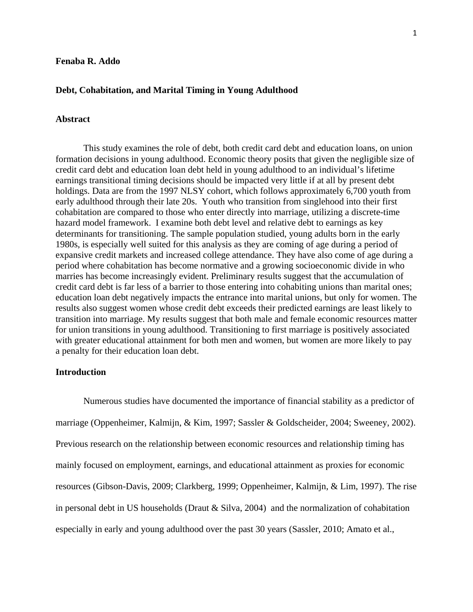#### **Fenaba R. Addo**

#### **Debt, Cohabitation, and Marital Timing in Young Adulthood**

# **Abstract**

This study examines the role of debt, both credit card debt and education loans, on union formation decisions in young adulthood. Economic theory posits that given the negligible size of credit card debt and education loan debt held in young adulthood to an individual's lifetime earnings transitional timing decisions should be impacted very little if at all by present debt holdings. Data are from the 1997 NLSY cohort, which follows approximately 6,700 youth from early adulthood through their late 20s. Youth who transition from singlehood into their first cohabitation are compared to those who enter directly into marriage, utilizing a discrete-time hazard model framework. I examine both debt level and relative debt to earnings as key determinants for transitioning. The sample population studied, young adults born in the early 1980s, is especially well suited for this analysis as they are coming of age during a period of expansive credit markets and increased college attendance. They have also come of age during a period where cohabitation has become normative and a growing socioeconomic divide in who marries has become increasingly evident. Preliminary results suggest that the accumulation of credit card debt is far less of a barrier to those entering into cohabiting unions than marital ones; education loan debt negatively impacts the entrance into marital unions, but only for women. The results also suggest women whose credit debt exceeds their predicted earnings are least likely to transition into marriage. My results suggest that both male and female economic resources matter for union transitions in young adulthood. Transitioning to first marriage is positively associated with greater educational attainment for both men and women, but women are more likely to pay a penalty for their education loan debt.

#### **Introduction**

Numerous studies have documented the importance of financial stability as a predictor of marriage (Oppenheimer, Kalmijn, & Kim, 1997; Sassler & Goldscheider, 2004; Sweeney, 2002). Previous research on the relationship between economic resources and relationship timing has mainly focused on employment, earnings, and educational attainment as proxies for economic resources (Gibson-Davis, 2009; Clarkberg, 1999; Oppenheimer, Kalmijn, & Lim, 1997). The rise in personal debt in US households (Draut & Silva, 2004) and the normalization of cohabitation especially in early and young adulthood over the past 30 years (Sassler, 2010; Amato et al.,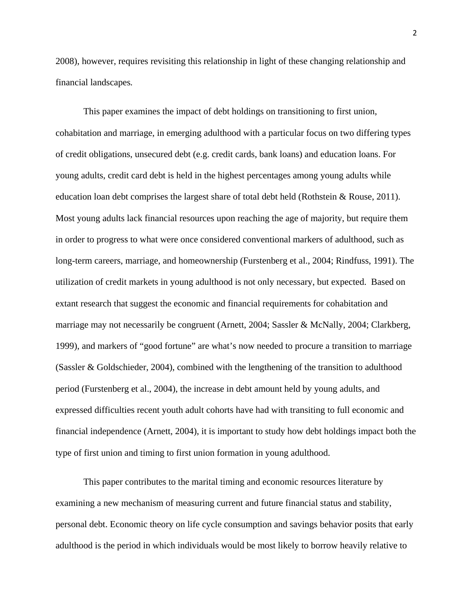2008), however, requires revisiting this relationship in light of these changing relationship and financial landscapes*.*

This paper examines the impact of debt holdings on transitioning to first union, cohabitation and marriage, in emerging adulthood with a particular focus on two differing types of credit obligations, unsecured debt (e.g. credit cards, bank loans) and education loans. For young adults, credit card debt is held in the highest percentages among young adults while education loan debt comprises the largest share of total debt held (Rothstein & Rouse, 2011). Most young adults lack financial resources upon reaching the age of majority, but require them in order to progress to what were once considered conventional markers of adulthood, such as long-term careers, marriage, and homeownership (Furstenberg et al., 2004; Rindfuss, 1991). The utilization of credit markets in young adulthood is not only necessary, but expected. Based on extant research that suggest the economic and financial requirements for cohabitation and marriage may not necessarily be congruent (Arnett, 2004; Sassler & McNally, 2004; Clarkberg, 1999), and markers of "good fortune" are what's now needed to procure a transition to marriage (Sassler & Goldschieder, 2004), combined with the lengthening of the transition to adulthood period (Furstenberg et al., 2004), the increase in debt amount held by young adults, and expressed difficulties recent youth adult cohorts have had with transiting to full economic and financial independence (Arnett, 2004), it is important to study how debt holdings impact both the type of first union and timing to first union formation in young adulthood.

This paper contributes to the marital timing and economic resources literature by examining a new mechanism of measuring current and future financial status and stability, personal debt. Economic theory on life cycle consumption and savings behavior posits that early adulthood is the period in which individuals would be most likely to borrow heavily relative to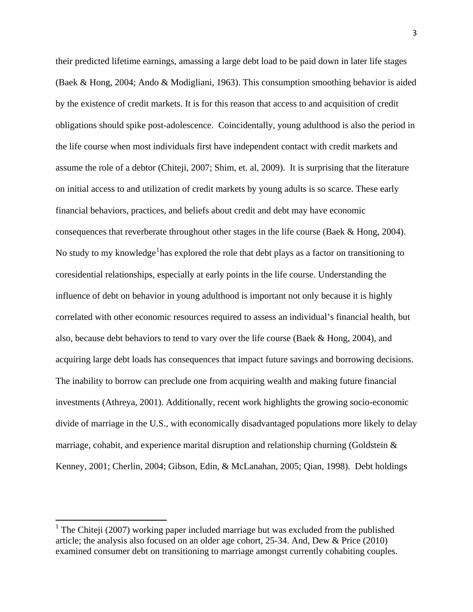their predicted lifetime earnings, amassing a large debt load to be paid down in later life stages (Baek & Hong, 2004; Ando & Modigliani, 1963). This consumption smoothing behavior is aided by the existence of credit markets. It is for this reason that access to and acquisition of credit obligations should spike post-adolescence. Coincidentally, young adulthood is also the period in the life course when most individuals first have independent contact with credit markets and assume the role of a debtor (Chiteji, 2007; Shim, et. al, 2009). It is surprising that the literature on initial access to and utilization of credit markets by young adults is so scarce. These early financial behaviors, practices, and beliefs about credit and debt may have economic consequences that reverberate throughout other stages in the life course (Baek & Hong, 2004). No study to my knowledge<sup>[1](#page-2-0)</sup> has explored the role that debt plays as a factor on transitioning to coresidential relationships, especially at early points in the life course. Understanding the influence of debt on behavior in young adulthood is important not only because it is highly correlated with other economic resources required to assess an individual's financial health, but also, because debt behaviors to tend to vary over the life course (Baek & Hong, 2004), and acquiring large debt loads has consequences that impact future savings and borrowing decisions. The inability to borrow can preclude one from acquiring wealth and making future financial investments (Athreya, 2001). Additionally, recent work highlights the growing socio-economic divide of marriage in the U.S., with economically disadvantaged populations more likely to delay marriage, cohabit, and experience marital disruption and relationship churning (Goldstein & Kenney, 2001; Cherlin, 2004; Gibson, Edin, & McLanahan, 2005; Qian, 1998).Debt holdings

<span id="page-2-0"></span><sup>&</sup>lt;sup>1</sup> The Chiteji (2007) working paper included marriage but was excluded from the published article; the analysis also focused on an older age cohort, 25-34. And, Dew & Price (2010) examined consumer debt on transitioning to marriage amongst currently cohabiting couples.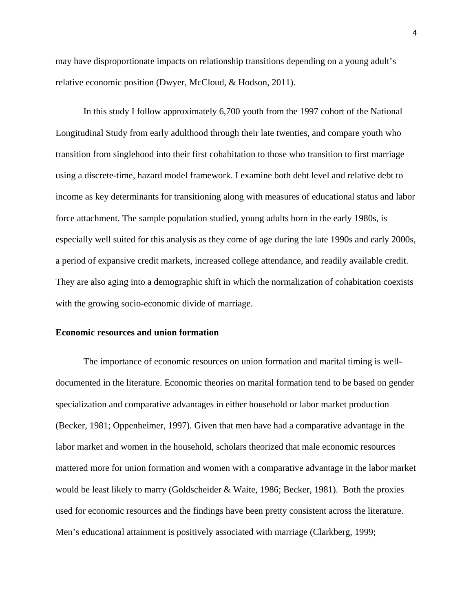may have disproportionate impacts on relationship transitions depending on a young adult's relative economic position (Dwyer, McCloud, & Hodson, 2011).

In this study I follow approximately 6,700 youth from the 1997 cohort of the National Longitudinal Study from early adulthood through their late twenties, and compare youth who transition from singlehood into their first cohabitation to those who transition to first marriage using a discrete-time, hazard model framework. I examine both debt level and relative debt to income as key determinants for transitioning along with measures of educational status and labor force attachment. The sample population studied, young adults born in the early 1980s, is especially well suited for this analysis as they come of age during the late 1990s and early 2000s, a period of expansive credit markets, increased college attendance, and readily available credit. They are also aging into a demographic shift in which the normalization of cohabitation coexists with the growing socio-economic divide of marriage.

## **Economic resources and union formation**

The importance of economic resources on union formation and marital timing is welldocumented in the literature. Economic theories on marital formation tend to be based on gender specialization and comparative advantages in either household or labor market production (Becker, 1981; Oppenheimer, 1997). Given that men have had a comparative advantage in the labor market and women in the household, scholars theorized that male economic resources mattered more for union formation and women with a comparative advantage in the labor market would be least likely to marry (Goldscheider & Waite, 1986; Becker, 1981). Both the proxies used for economic resources and the findings have been pretty consistent across the literature. Men's educational attainment is positively associated with marriage (Clarkberg, 1999;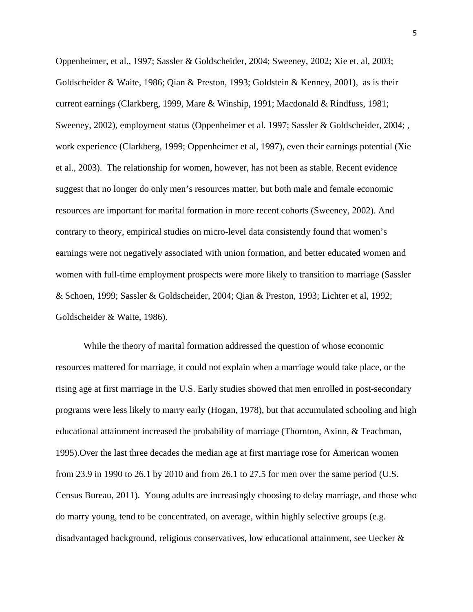Oppenheimer, et al., 1997; Sassler & Goldscheider, 2004; Sweeney, 2002; Xie et. al, 2003; Goldscheider & Waite, 1986; Qian & Preston, 1993; Goldstein & Kenney, 2001), as is their current earnings (Clarkberg, 1999, Mare & Winship, 1991; Macdonald & Rindfuss, 1981; Sweeney, 2002), employment status (Oppenheimer et al. 1997; Sassler & Goldscheider, 2004; , work experience (Clarkberg, 1999; Oppenheimer et al, 1997), even their earnings potential (Xie et al., 2003). The relationship for women, however, has not been as stable. Recent evidence suggest that no longer do only men's resources matter, but both male and female economic resources are important for marital formation in more recent cohorts (Sweeney, 2002). And contrary to theory, empirical studies on micro-level data consistently found that women's earnings were not negatively associated with union formation, and better educated women and women with full-time employment prospects were more likely to transition to marriage (Sassler & Schoen, 1999; Sassler & Goldscheider, 2004; Qian & Preston, 1993; Lichter et al, 1992; Goldscheider & Waite, 1986).

While the theory of marital formation addressed the question of whose economic resources mattered for marriage, it could not explain when a marriage would take place, or the rising age at first marriage in the U.S. Early studies showed that men enrolled in post-secondary programs were less likely to marry early (Hogan, 1978), but that accumulated schooling and high educational attainment increased the probability of marriage (Thornton, Axinn, & Teachman, 1995).Over the last three decades the median age at first marriage rose for American women from 23.9 in 1990 to 26.1 by 2010 and from 26.1 to 27.5 for men over the same period (U.S. Census Bureau, 2011). Young adults are increasingly choosing to delay marriage, and those who do marry young, tend to be concentrated, on average, within highly selective groups (e.g. disadvantaged background, religious conservatives, low educational attainment, see Uecker &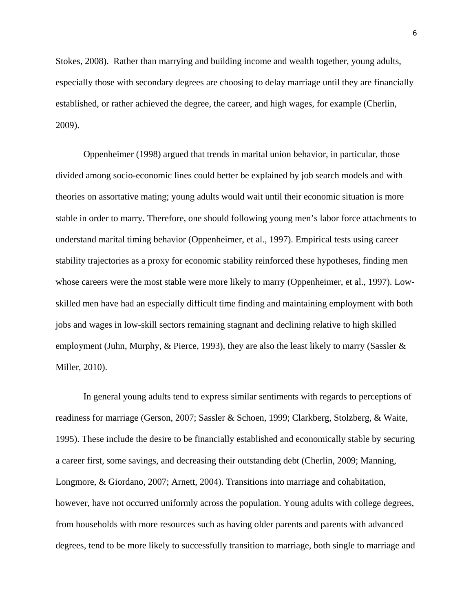Stokes, 2008). Rather than marrying and building income and wealth together, young adults, especially those with secondary degrees are choosing to delay marriage until they are financially established, or rather achieved the degree, the career, and high wages, for example (Cherlin, 2009).

Oppenheimer (1998) argued that trends in marital union behavior, in particular, those divided among socio-economic lines could better be explained by job search models and with theories on assortative mating; young adults would wait until their economic situation is more stable in order to marry. Therefore, one should following young men's labor force attachments to understand marital timing behavior (Oppenheimer, et al., 1997). Empirical tests using career stability trajectories as a proxy for economic stability reinforced these hypotheses, finding men whose careers were the most stable were more likely to marry (Oppenheimer, et al., 1997). Lowskilled men have had an especially difficult time finding and maintaining employment with both jobs and wages in low-skill sectors remaining stagnant and declining relative to high skilled employment (Juhn, Murphy, & Pierce, 1993), they are also the least likely to marry (Sassler & Miller, 2010).

In general young adults tend to express similar sentiments with regards to perceptions of readiness for marriage (Gerson, 2007; Sassler & Schoen, 1999; Clarkberg, Stolzberg, & Waite, 1995). These include the desire to be financially established and economically stable by securing a career first, some savings, and decreasing their outstanding debt (Cherlin, 2009; Manning, Longmore, & Giordano, 2007; Arnett, 2004). Transitions into marriage and cohabitation, however, have not occurred uniformly across the population. Young adults with college degrees, from households with more resources such as having older parents and parents with advanced degrees, tend to be more likely to successfully transition to marriage, both single to marriage and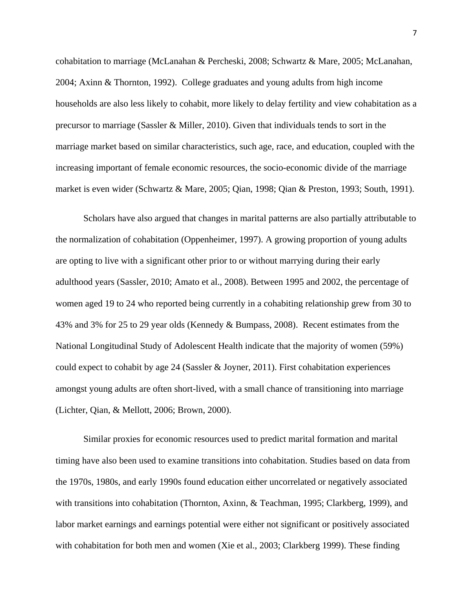cohabitation to marriage (McLanahan & Percheski, 2008; Schwartz & Mare, 2005; McLanahan, 2004; Axinn & Thornton, 1992). College graduates and young adults from high income households are also less likely to cohabit, more likely to delay fertility and view cohabitation as a precursor to marriage (Sassler & Miller, 2010). Given that individuals tends to sort in the marriage market based on similar characteristics, such age, race, and education, coupled with the increasing important of female economic resources, the socio-economic divide of the marriage market is even wider (Schwartz & Mare, 2005; Qian, 1998; Qian & Preston, 1993; South, 1991).

Scholars have also argued that changes in marital patterns are also partially attributable to the normalization of cohabitation (Oppenheimer, 1997). A growing proportion of young adults are opting to live with a significant other prior to or without marrying during their early adulthood years (Sassler, 2010; Amato et al., 2008). Between 1995 and 2002, the percentage of women aged 19 to 24 who reported being currently in a cohabiting relationship grew from 30 to 43% and 3% for 25 to 29 year olds (Kennedy & Bumpass, 2008). Recent estimates from the National Longitudinal Study of Adolescent Health indicate that the majority of women (59%) could expect to cohabit by age 24 (Sassler & Joyner, 2011). First cohabitation experiences amongst young adults are often short-lived, with a small chance of transitioning into marriage (Lichter, Qian, & Mellott, 2006; Brown, 2000).

Similar proxies for economic resources used to predict marital formation and marital timing have also been used to examine transitions into cohabitation. Studies based on data from the 1970s, 1980s, and early 1990s found education either uncorrelated or negatively associated with transitions into cohabitation (Thornton, Axinn, & Teachman, 1995; Clarkberg, 1999), and labor market earnings and earnings potential were either not significant or positively associated with cohabitation for both men and women (Xie et al., 2003; Clarkberg 1999). These finding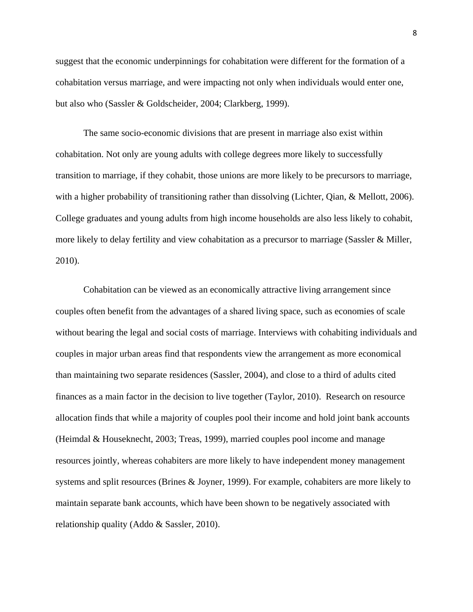suggest that the economic underpinnings for cohabitation were different for the formation of a cohabitation versus marriage, and were impacting not only when individuals would enter one, but also who (Sassler & Goldscheider, 2004; Clarkberg, 1999).

The same socio-economic divisions that are present in marriage also exist within cohabitation. Not only are young adults with college degrees more likely to successfully transition to marriage, if they cohabit, those unions are more likely to be precursors to marriage, with a higher probability of transitioning rather than dissolving (Lichter, Qian, & Mellott, 2006). College graduates and young adults from high income households are also less likely to cohabit, more likely to delay fertility and view cohabitation as a precursor to marriage (Sassler & Miller, 2010).

Cohabitation can be viewed as an economically attractive living arrangement since couples often benefit from the advantages of a shared living space, such as economies of scale without bearing the legal and social costs of marriage. Interviews with cohabiting individuals and couples in major urban areas find that respondents view the arrangement as more economical than maintaining two separate residences (Sassler, 2004), and close to a third of adults cited finances as a main factor in the decision to live together (Taylor, 2010). Research on resource allocation finds that while a majority of couples pool their income and hold joint bank accounts (Heimdal & Houseknecht, 2003; Treas, 1999), married couples pool income and manage resources jointly, whereas cohabiters are more likely to have independent money management systems and split resources (Brines & Joyner, 1999). For example, cohabiters are more likely to maintain separate bank accounts, which have been shown to be negatively associated with relationship quality (Addo & Sassler, 2010).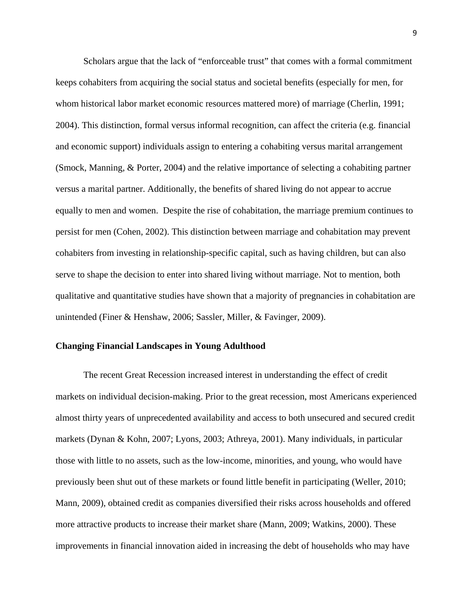Scholars argue that the lack of "enforceable trust" that comes with a formal commitment keeps cohabiters from acquiring the social status and societal benefits (especially for men, for whom historical labor market economic resources mattered more) of marriage (Cherlin, 1991; 2004). This distinction, formal versus informal recognition, can affect the criteria (e.g. financial and economic support) individuals assign to entering a cohabiting versus marital arrangement (Smock, Manning, & Porter, 2004) and the relative importance of selecting a cohabiting partner versus a marital partner. Additionally, the benefits of shared living do not appear to accrue equally to men and women. Despite the rise of cohabitation, the marriage premium continues to persist for men (Cohen, 2002). This distinction between marriage and cohabitation may prevent cohabiters from investing in relationship-specific capital, such as having children, but can also serve to shape the decision to enter into shared living without marriage. Not to mention, both qualitative and quantitative studies have shown that a majority of pregnancies in cohabitation are unintended (Finer & Henshaw, 2006; Sassler, Miller, & Favinger, 2009).

#### **Changing Financial Landscapes in Young Adulthood**

The recent Great Recession increased interest in understanding the effect of credit markets on individual decision-making. Prior to the great recession, most Americans experienced almost thirty years of unprecedented availability and access to both unsecured and secured credit markets (Dynan & Kohn, 2007; Lyons, 2003; Athreya, 2001). Many individuals, in particular those with little to no assets, such as the low-income, minorities, and young, who would have previously been shut out of these markets or found little benefit in participating (Weller, 2010; Mann, 2009), obtained credit as companies diversified their risks across households and offered more attractive products to increase their market share (Mann, 2009; Watkins, 2000). These improvements in financial innovation aided in increasing the debt of households who may have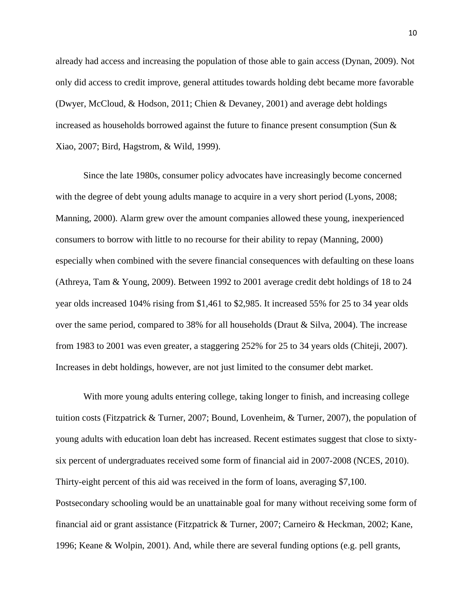already had access and increasing the population of those able to gain access (Dynan, 2009). Not only did access to credit improve, general attitudes towards holding debt became more favorable (Dwyer, McCloud, & Hodson, 2011; Chien & Devaney, 2001) and average debt holdings increased as households borrowed against the future to finance present consumption (Sun & Xiao, 2007; Bird, Hagstrom, & Wild, 1999).

Since the late 1980s, consumer policy advocates have increasingly become concerned with the degree of debt young adults manage to acquire in a very short period (Lyons, 2008; Manning, 2000). Alarm grew over the amount companies allowed these young, inexperienced consumers to borrow with little to no recourse for their ability to repay (Manning, 2000) especially when combined with the severe financial consequences with defaulting on these loans (Athreya, Tam & Young, 2009). Between 1992 to 2001 average credit debt holdings of 18 to 24 year olds increased 104% rising from \$1,461 to \$2,985. It increased 55% for 25 to 34 year olds over the same period, compared to 38% for all households (Draut & Silva, 2004). The increase from 1983 to 2001 was even greater, a staggering 252% for 25 to 34 years olds (Chiteji, 2007). Increases in debt holdings, however, are not just limited to the consumer debt market.

With more young adults entering college, taking longer to finish, and increasing college tuition costs (Fitzpatrick & Turner, 2007; Bound, Lovenheim, & Turner, 2007), the population of young adults with education loan debt has increased. Recent estimates suggest that close to sixtysix percent of undergraduates received some form of financial aid in 2007-2008 (NCES, 2010). Thirty-eight percent of this aid was received in the form of loans, averaging \$7,100. Postsecondary schooling would be an unattainable goal for many without receiving some form of financial aid or grant assistance (Fitzpatrick & Turner, 2007; Carneiro & Heckman, 2002; Kane, 1996; Keane & Wolpin, 2001). And, while there are several funding options (e.g. pell grants,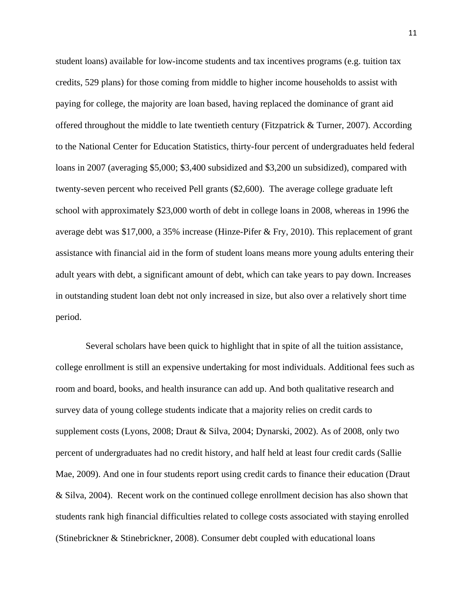student loans) available for low-income students and tax incentives programs (e.g. tuition tax credits, 529 plans) for those coming from middle to higher income households to assist with paying for college, the majority are loan based, having replaced the dominance of grant aid offered throughout the middle to late twentieth century (Fitzpatrick & Turner, 2007). According to the National Center for Education Statistics, thirty-four percent of undergraduates held federal loans in 2007 (averaging \$5,000; \$3,400 subsidized and \$3,200 un subsidized), compared with twenty-seven percent who received Pell grants (\$2,600). The average college graduate left school with approximately \$23,000 worth of debt in college loans in 2008, whereas in 1996 the average debt was \$17,000, a 35% increase (Hinze-Pifer & Fry, 2010). This replacement of grant assistance with financial aid in the form of student loans means more young adults entering their adult years with debt, a significant amount of debt, which can take years to pay down. Increases in outstanding student loan debt not only increased in size, but also over a relatively short time period.

 Several scholars have been quick to highlight that in spite of all the tuition assistance, college enrollment is still an expensive undertaking for most individuals. Additional fees such as room and board, books, and health insurance can add up. And both qualitative research and survey data of young college students indicate that a majority relies on credit cards to supplement costs (Lyons, 2008; Draut & Silva, 2004; Dynarski, 2002). As of 2008, only two percent of undergraduates had no credit history, and half held at least four credit cards (Sallie Mae, 2009). And one in four students report using credit cards to finance their education (Draut & Silva, 2004). Recent work on the continued college enrollment decision has also shown that students rank high financial difficulties related to college costs associated with staying enrolled (Stinebrickner & Stinebrickner, 2008). Consumer debt coupled with educational loans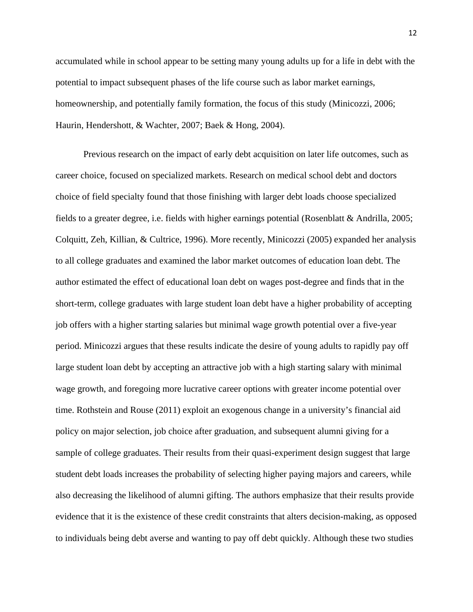accumulated while in school appear to be setting many young adults up for a life in debt with the potential to impact subsequent phases of the life course such as labor market earnings, homeownership, and potentially family formation, the focus of this study (Minicozzi, 2006; Haurin, Hendershott, & Wachter, 2007; Baek & Hong, 2004).

Previous research on the impact of early debt acquisition on later life outcomes, such as career choice, focused on specialized markets. Research on medical school debt and doctors choice of field specialty found that those finishing with larger debt loads choose specialized fields to a greater degree, i.e. fields with higher earnings potential (Rosenblatt & Andrilla, 2005; Colquitt, Zeh, Killian, & Cultrice, 1996). More recently, Minicozzi (2005) expanded her analysis to all college graduates and examined the labor market outcomes of education loan debt. The author estimated the effect of educational loan debt on wages post-degree and finds that in the short-term, college graduates with large student loan debt have a higher probability of accepting job offers with a higher starting salaries but minimal wage growth potential over a five-year period. Minicozzi argues that these results indicate the desire of young adults to rapidly pay off large student loan debt by accepting an attractive job with a high starting salary with minimal wage growth, and foregoing more lucrative career options with greater income potential over time. Rothstein and Rouse (2011) exploit an exogenous change in a university's financial aid policy on major selection, job choice after graduation, and subsequent alumni giving for a sample of college graduates. Their results from their quasi-experiment design suggest that large student debt loads increases the probability of selecting higher paying majors and careers, while also decreasing the likelihood of alumni gifting. The authors emphasize that their results provide evidence that it is the existence of these credit constraints that alters decision-making, as opposed to individuals being debt averse and wanting to pay off debt quickly. Although these two studies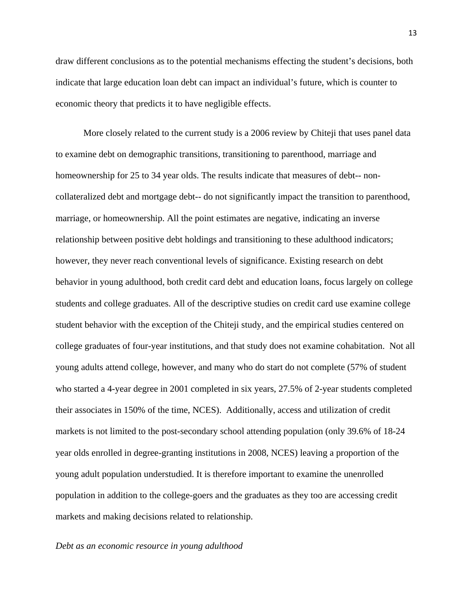draw different conclusions as to the potential mechanisms effecting the student's decisions, both indicate that large education loan debt can impact an individual's future, which is counter to economic theory that predicts it to have negligible effects.

More closely related to the current study is a 2006 review by Chiteji that uses panel data to examine debt on demographic transitions, transitioning to parenthood, marriage and homeownership for 25 to 34 year olds. The results indicate that measures of debt-- noncollateralized debt and mortgage debt-- do not significantly impact the transition to parenthood, marriage, or homeownership. All the point estimates are negative, indicating an inverse relationship between positive debt holdings and transitioning to these adulthood indicators; however, they never reach conventional levels of significance. Existing research on debt behavior in young adulthood, both credit card debt and education loans, focus largely on college students and college graduates. All of the descriptive studies on credit card use examine college student behavior with the exception of the Chiteji study, and the empirical studies centered on college graduates of four-year institutions, and that study does not examine cohabitation.Not all young adults attend college, however, and many who do start do not complete (57% of student who started a 4-year degree in 2001 completed in six years, 27.5% of 2-year students completed their associates in 150% of the time, NCES). Additionally, access and utilization of credit markets is not limited to the post-secondary school attending population (only 39.6% of 18-24 year olds enrolled in degree-granting institutions in 2008, NCES) leaving a proportion of the young adult population understudied. It is therefore important to examine the unenrolled population in addition to the college-goers and the graduates as they too are accessing credit markets and making decisions related to relationship.

#### *Debt as an economic resource in young adulthood*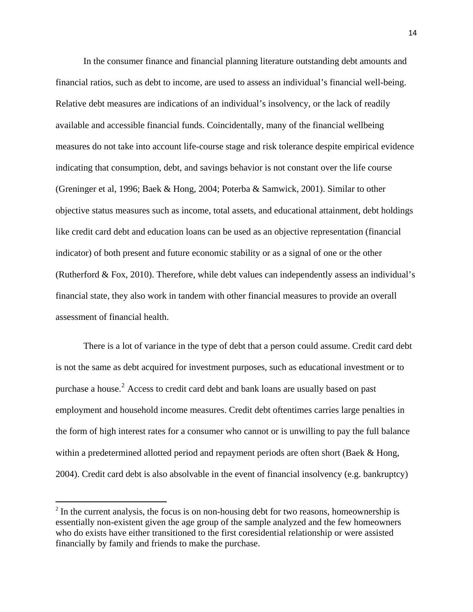In the consumer finance and financial planning literature outstanding debt amounts and financial ratios, such as debt to income, are used to assess an individual's financial well-being. Relative debt measures are indications of an individual's insolvency, or the lack of readily available and accessible financial funds. Coincidentally, many of the financial wellbeing measures do not take into account life-course stage and risk tolerance despite empirical evidence indicating that consumption, debt, and savings behavior is not constant over the life course (Greninger et al, 1996; Baek & Hong, 2004; Poterba & Samwick, 2001). Similar to other objective status measures such as income, total assets, and educational attainment, debt holdings like credit card debt and education loans can be used as an objective representation (financial indicator) of both present and future economic stability or as a signal of one or the other (Rutherford & Fox, 2010). Therefore, while debt values can independently assess an individual's financial state, they also work in tandem with other financial measures to provide an overall assessment of financial health.

There is a lot of variance in the type of debt that a person could assume. Credit card debt is not the same as debt acquired for investment purposes, such as educational investment or to purchase a house. $2$  Access to credit card debt and bank loans are usually based on past employment and household income measures. Credit debt oftentimes carries large penalties in the form of high interest rates for a consumer who cannot or is unwilling to pay the full balance within a predetermined allotted period and repayment periods are often short (Baek & Hong, 2004). Credit card debt is also absolvable in the event of financial insolvency (e.g. bankruptcy)

<span id="page-13-0"></span> $2 \text{ In the current analysis, the focus is on non-housing debt for two reasons, home ownership is }$ essentially non-existent given the age group of the sample analyzed and the few homeowners who do exists have either transitioned to the first coresidential relationship or were assisted financially by family and friends to make the purchase.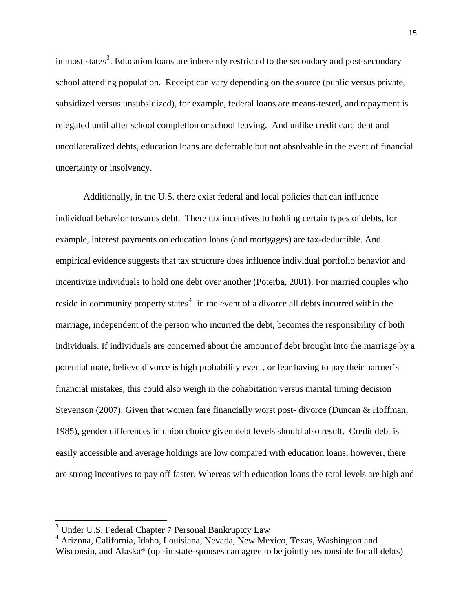in most states<sup>[3](#page-14-0)</sup>. Education loans are inherently restricted to the secondary and post-secondary school attending population. Receipt can vary depending on the source (public versus private, subsidized versus unsubsidized), for example, federal loans are means-tested, and repayment is relegated until after school completion or school leaving. And unlike credit card debt and uncollateralized debts, education loans are deferrable but not absolvable in the event of financial uncertainty or insolvency.

Additionally, in the U.S. there exist federal and local policies that can influence individual behavior towards debt. There tax incentives to holding certain types of debts, for example, interest payments on education loans (and mortgages) are tax-deductible. And empirical evidence suggests that tax structure does influence individual portfolio behavior and incentivize individuals to hold one debt over another (Poterba, 2001). For married couples who reside in community property states<sup>[4](#page-14-1)</sup> in the event of a divorce all debts incurred within the marriage, independent of the person who incurred the debt, becomes the responsibility of both individuals. If individuals are concerned about the amount of debt brought into the marriage by a potential mate, believe divorce is high probability event, or fear having to pay their partner's financial mistakes, this could also weigh in the cohabitation versus marital timing decision Stevenson (2007). Given that women fare financially worst post- divorce (Duncan & Hoffman, 1985), gender differences in union choice given debt levels should also result. Credit debt is easily accessible and average holdings are low compared with education loans; however, there are strong incentives to pay off faster. Whereas with education loans the total levels are high and

<span id="page-14-0"></span><sup>&</sup>lt;sup>3</sup> Under U.S. Federal Chapter 7 Personal Bankruptcy Law

<span id="page-14-1"></span><sup>4</sup> Arizona, California, Idaho, Louisiana, Nevada, New Mexico, Texas, Washington and Wisconsin, and Alaska\* (opt-in state-spouses can agree to be jointly responsible for all debts)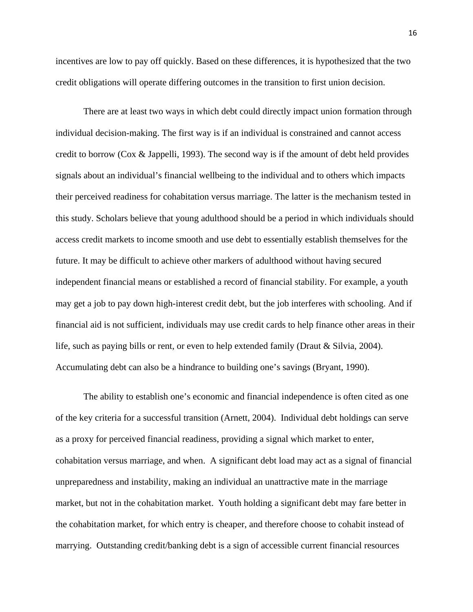incentives are low to pay off quickly. Based on these differences, it is hypothesized that the two credit obligations will operate differing outcomes in the transition to first union decision.

There are at least two ways in which debt could directly impact union formation through individual decision-making. The first way is if an individual is constrained and cannot access credit to borrow (Cox & Jappelli, 1993). The second way is if the amount of debt held provides signals about an individual's financial wellbeing to the individual and to others which impacts their perceived readiness for cohabitation versus marriage. The latter is the mechanism tested in this study. Scholars believe that young adulthood should be a period in which individuals should access credit markets to income smooth and use debt to essentially establish themselves for the future. It may be difficult to achieve other markers of adulthood without having secured independent financial means or established a record of financial stability. For example, a youth may get a job to pay down high-interest credit debt, but the job interferes with schooling. And if financial aid is not sufficient, individuals may use credit cards to help finance other areas in their life, such as paying bills or rent, or even to help extended family (Draut & Silvia, 2004). Accumulating debt can also be a hindrance to building one's savings (Bryant, 1990).

The ability to establish one's economic and financial independence is often cited as one of the key criteria for a successful transition (Arnett, 2004). Individual debt holdings can serve as a proxy for perceived financial readiness, providing a signal which market to enter, cohabitation versus marriage, and when. A significant debt load may act as a signal of financial unpreparedness and instability, making an individual an unattractive mate in the marriage market, but not in the cohabitation market. Youth holding a significant debt may fare better in the cohabitation market, for which entry is cheaper, and therefore choose to cohabit instead of marrying. Outstanding credit/banking debt is a sign of accessible current financial resources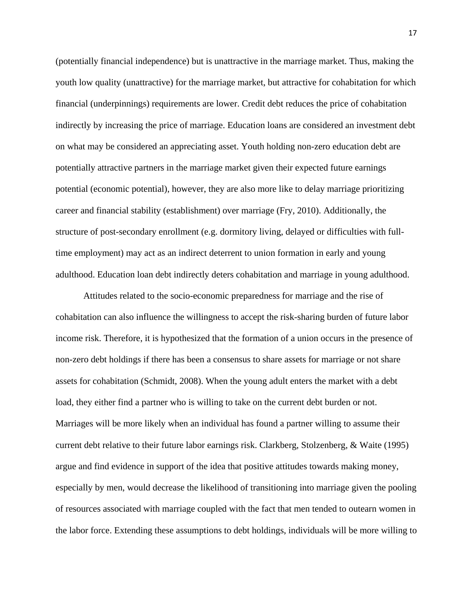(potentially financial independence) but is unattractive in the marriage market. Thus, making the youth low quality (unattractive) for the marriage market, but attractive for cohabitation for which financial (underpinnings) requirements are lower. Credit debt reduces the price of cohabitation indirectly by increasing the price of marriage. Education loans are considered an investment debt on what may be considered an appreciating asset. Youth holding non-zero education debt are potentially attractive partners in the marriage market given their expected future earnings potential (economic potential), however, they are also more like to delay marriage prioritizing career and financial stability (establishment) over marriage (Fry, 2010). Additionally, the structure of post-secondary enrollment (e.g. dormitory living, delayed or difficulties with fulltime employment) may act as an indirect deterrent to union formation in early and young adulthood. Education loan debt indirectly deters cohabitation and marriage in young adulthood.

Attitudes related to the socio-economic preparedness for marriage and the rise of cohabitation can also influence the willingness to accept the risk-sharing burden of future labor income risk. Therefore, it is hypothesized that the formation of a union occurs in the presence of non-zero debt holdings if there has been a consensus to share assets for marriage or not share assets for cohabitation (Schmidt, 2008). When the young adult enters the market with a debt load, they either find a partner who is willing to take on the current debt burden or not. Marriages will be more likely when an individual has found a partner willing to assume their current debt relative to their future labor earnings risk. Clarkberg, Stolzenberg, & Waite (1995) argue and find evidence in support of the idea that positive attitudes towards making money, especially by men, would decrease the likelihood of transitioning into marriage given the pooling of resources associated with marriage coupled with the fact that men tended to outearn women in the labor force. Extending these assumptions to debt holdings, individuals will be more willing to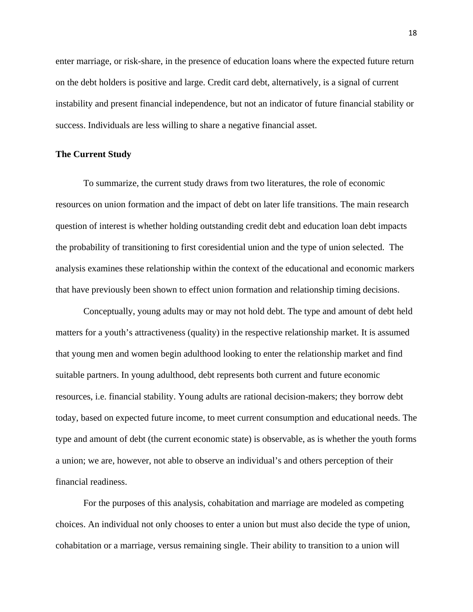enter marriage, or risk-share, in the presence of education loans where the expected future return on the debt holders is positive and large. Credit card debt, alternatively, is a signal of current instability and present financial independence, but not an indicator of future financial stability or success. Individuals are less willing to share a negative financial asset.

#### **The Current Study**

To summarize, the current study draws from two literatures, the role of economic resources on union formation and the impact of debt on later life transitions. The main research question of interest is whether holding outstanding credit debt and education loan debt impacts the probability of transitioning to first coresidential union and the type of union selected. The analysis examines these relationship within the context of the educational and economic markers that have previously been shown to effect union formation and relationship timing decisions.

Conceptually, young adults may or may not hold debt. The type and amount of debt held matters for a youth's attractiveness (quality) in the respective relationship market. It is assumed that young men and women begin adulthood looking to enter the relationship market and find suitable partners. In young adulthood, debt represents both current and future economic resources, i.e. financial stability. Young adults are rational decision-makers; they borrow debt today, based on expected future income, to meet current consumption and educational needs. The type and amount of debt (the current economic state) is observable, as is whether the youth forms a union; we are, however, not able to observe an individual's and others perception of their financial readiness.

For the purposes of this analysis, cohabitation and marriage are modeled as competing choices. An individual not only chooses to enter a union but must also decide the type of union, cohabitation or a marriage, versus remaining single. Their ability to transition to a union will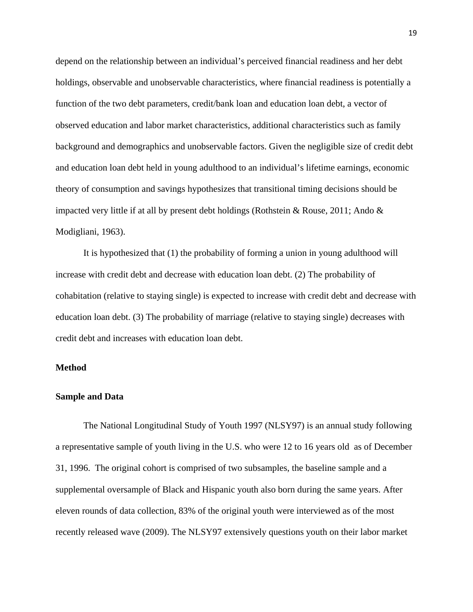depend on the relationship between an individual's perceived financial readiness and her debt holdings, observable and unobservable characteristics, where financial readiness is potentially a function of the two debt parameters, credit/bank loan and education loan debt, a vector of observed education and labor market characteristics, additional characteristics such as family background and demographics and unobservable factors. Given the negligible size of credit debt and education loan debt held in young adulthood to an individual's lifetime earnings, economic theory of consumption and savings hypothesizes that transitional timing decisions should be impacted very little if at all by present debt holdings (Rothstein & Rouse, 2011; Ando & Modigliani, 1963).

It is hypothesized that (1) the probability of forming a union in young adulthood will increase with credit debt and decrease with education loan debt. (2) The probability of cohabitation (relative to staying single) is expected to increase with credit debt and decrease with education loan debt. (3) The probability of marriage (relative to staying single) decreases with credit debt and increases with education loan debt.

#### **Method**

#### **Sample and Data**

The National Longitudinal Study of Youth 1997 (NLSY97) is an annual study following a representative sample of youth living in the U.S. who were 12 to 16 years old as of December 31, 1996. The original cohort is comprised of two subsamples, the baseline sample and a supplemental oversample of Black and Hispanic youth also born during the same years. After eleven rounds of data collection, 83% of the original youth were interviewed as of the most recently released wave (2009). The NLSY97 extensively questions youth on their labor market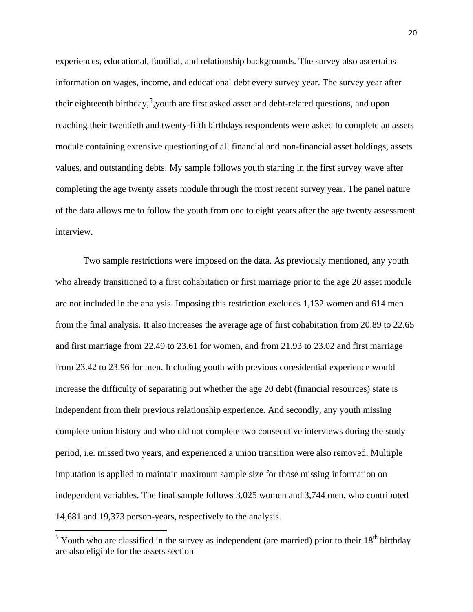experiences, educational, familial, and relationship backgrounds. The survey also ascertains information on wages, income, and educational debt every survey year. The survey year after their eighteenth birthday,  $5$ , youth are first asked asset and debt-related questions, and upon reaching their twentieth and twenty-fifth birthdays respondents were asked to complete an assets module containing extensive questioning of all financial and non-financial asset holdings, assets values, and outstanding debts. My sample follows youth starting in the first survey wave after completing the age twenty assets module through the most recent survey year. The panel nature of the data allows me to follow the youth from one to eight years after the age twenty assessment interview.

Two sample restrictions were imposed on the data. As previously mentioned, any youth who already transitioned to a first cohabitation or first marriage prior to the age 20 asset module are not included in the analysis. Imposing this restriction excludes 1,132 women and 614 men from the final analysis. It also increases the average age of first cohabitation from 20.89 to 22.65 and first marriage from 22.49 to 23.61 for women, and from 21.93 to 23.02 and first marriage from 23.42 to 23.96 for men. Including youth with previous coresidential experience would increase the difficulty of separating out whether the age 20 debt (financial resources) state is independent from their previous relationship experience. And secondly, any youth missing complete union history and who did not complete two consecutive interviews during the study period, i.e. missed two years, and experienced a union transition were also removed. Multiple imputation is applied to maintain maximum sample size for those missing information on independent variables. The final sample follows 3,025 women and 3,744 men, who contributed 14,681 and 19,373 person-years, respectively to the analysis.

<span id="page-19-0"></span><sup>&</sup>lt;sup>5</sup> Youth who are classified in the survey as independent (are married) prior to their  $18<sup>th</sup>$  birthday are also eligible for the assets section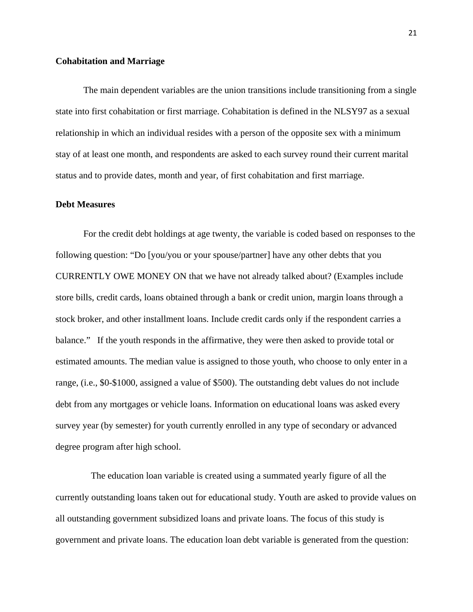#### **Cohabitation and Marriage**

The main dependent variables are the union transitions include transitioning from a single state into first cohabitation or first marriage. Cohabitation is defined in the NLSY97 as a sexual relationship in which an individual resides with a person of the opposite sex with a minimum stay of at least one month, and respondents are asked to each survey round their current marital status and to provide dates, month and year, of first cohabitation and first marriage.

#### **Debt Measures**

For the credit debt holdings at age twenty, the variable is coded based on responses to the following question: "Do [you/you or your spouse/partner] have any other debts that you CURRENTLY OWE MONEY ON that we have not already talked about? (Examples include store bills, credit cards, loans obtained through a bank or credit union, margin loans through a stock broker, and other installment loans. Include credit cards only if the respondent carries a balance." If the youth responds in the affirmative, they were then asked to provide total or estimated amounts. The median value is assigned to those youth, who choose to only enter in a range, (i.e., \$0-\$1000, assigned a value of \$500). The outstanding debt values do not include debt from any mortgages or vehicle loans. Information on educational loans was asked every survey year (by semester) for youth currently enrolled in any type of secondary or advanced degree program after high school.

 The education loan variable is created using a summated yearly figure of all the currently outstanding loans taken out for educational study. Youth are asked to provide values on all outstanding government subsidized loans and private loans. The focus of this study is government and private loans. The education loan debt variable is generated from the question: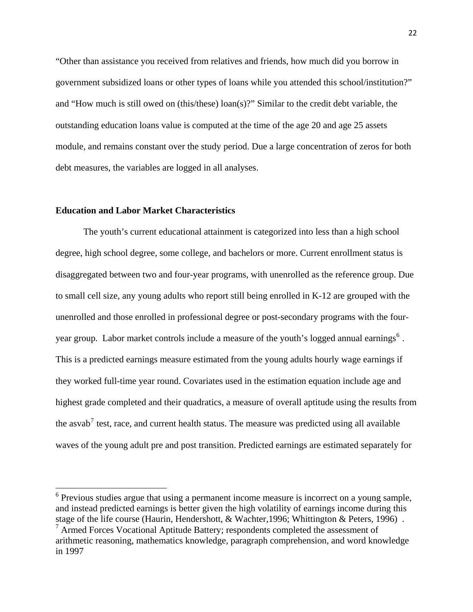"Other than assistance you received from relatives and friends, how much did you borrow in government subsidized loans or other types of loans while you attended this school/institution?" and "How much is still owed on (this/these) loan(s)?" Similar to the credit debt variable, the outstanding education loans value is computed at the time of the age 20 and age 25 assets module, and remains constant over the study period. Due a large concentration of zeros for both debt measures, the variables are logged in all analyses.

## **Education and Labor Market Characteristics**

The youth's current educational attainment is categorized into less than a high school degree, high school degree, some college, and bachelors or more. Current enrollment status is disaggregated between two and four-year programs, with unenrolled as the reference group. Due to small cell size, any young adults who report still being enrolled in K-12 are grouped with the unenrolled and those enrolled in professional degree or post-secondary programs with the four-year group. Labor market controls include a measure of the youth's logged annual earnings<sup>[6](#page-21-0)</sup>. This is a predicted earnings measure estimated from the young adults hourly wage earnings if they worked full-time year round. Covariates used in the estimation equation include age and highest grade completed and their quadratics, a measure of overall aptitude using the results from the asvab<sup>[7](#page-21-1)</sup> test, race, and current health status. The measure was predicted using all available waves of the young adult pre and post transition. Predicted earnings are estimated separately for

<span id="page-21-0"></span> $6$  Previous studies argue that using a permanent income measure is incorrect on a young sample, and instead predicted earnings is better given the high volatility of earnings income during this stage of the life course (Haurin, Hendershott, & Wachter,1996; Whittington & Peters, 1996) .

<span id="page-21-1"></span><sup>&</sup>lt;sup>7</sup> Armed Forces Vocational Aptitude Battery; respondents completed the assessment of arithmetic reasoning, mathematics knowledge, paragraph comprehension, and word knowledge in 1997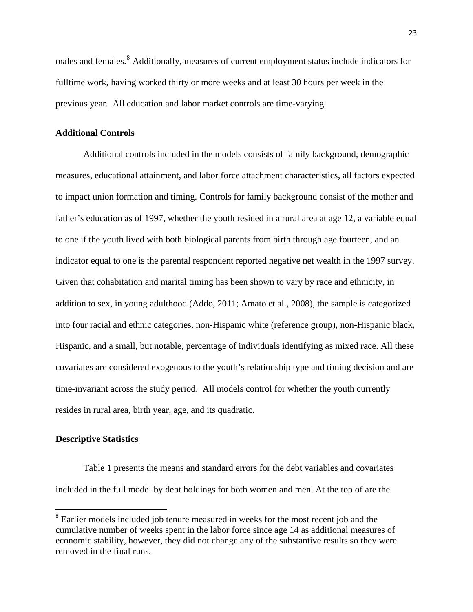males and females.<sup>[8](#page-22-0)</sup> Additionally, measures of current employment status include indicators for fulltime work, having worked thirty or more weeks and at least 30 hours per week in the previous year. All education and labor market controls are time-varying.

#### **Additional Controls**

Additional controls included in the models consists of family background, demographic measures, educational attainment, and labor force attachment characteristics, all factors expected to impact union formation and timing. Controls for family background consist of the mother and father's education as of 1997, whether the youth resided in a rural area at age 12, a variable equal to one if the youth lived with both biological parents from birth through age fourteen, and an indicator equal to one is the parental respondent reported negative net wealth in the 1997 survey. Given that cohabitation and marital timing has been shown to vary by race and ethnicity, in addition to sex, in young adulthood (Addo, 2011; Amato et al., 2008), the sample is categorized into four racial and ethnic categories, non-Hispanic white (reference group), non-Hispanic black, Hispanic, and a small, but notable, percentage of individuals identifying as mixed race. All these covariates are considered exogenous to the youth's relationship type and timing decision and are time-invariant across the study period. All models control for whether the youth currently resides in rural area, birth year, age, and its quadratic.

#### **Descriptive Statistics**

Table 1 presents the means and standard errors for the debt variables and covariates included in the full model by debt holdings for both women and men. At the top of are the

<span id="page-22-0"></span><sup>&</sup>lt;sup>8</sup> Earlier models included job tenure measured in weeks for the most recent job and the cumulative number of weeks spent in the labor force since age 14 as additional measures of economic stability, however, they did not change any of the substantive results so they were removed in the final runs.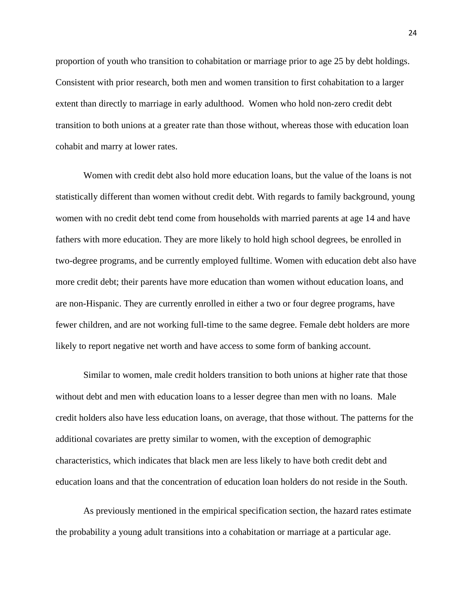proportion of youth who transition to cohabitation or marriage prior to age 25 by debt holdings. Consistent with prior research, both men and women transition to first cohabitation to a larger extent than directly to marriage in early adulthood. Women who hold non-zero credit debt transition to both unions at a greater rate than those without, whereas those with education loan cohabit and marry at lower rates.

Women with credit debt also hold more education loans, but the value of the loans is not statistically different than women without credit debt. With regards to family background, young women with no credit debt tend come from households with married parents at age 14 and have fathers with more education. They are more likely to hold high school degrees, be enrolled in two-degree programs, and be currently employed fulltime. Women with education debt also have more credit debt; their parents have more education than women without education loans, and are non-Hispanic. They are currently enrolled in either a two or four degree programs, have fewer children, and are not working full-time to the same degree. Female debt holders are more likely to report negative net worth and have access to some form of banking account.

Similar to women, male credit holders transition to both unions at higher rate that those without debt and men with education loans to a lesser degree than men with no loans. Male credit holders also have less education loans, on average, that those without. The patterns for the additional covariates are pretty similar to women, with the exception of demographic characteristics, which indicates that black men are less likely to have both credit debt and education loans and that the concentration of education loan holders do not reside in the South.

As previously mentioned in the empirical specification section, the hazard rates estimate the probability a young adult transitions into a cohabitation or marriage at a particular age.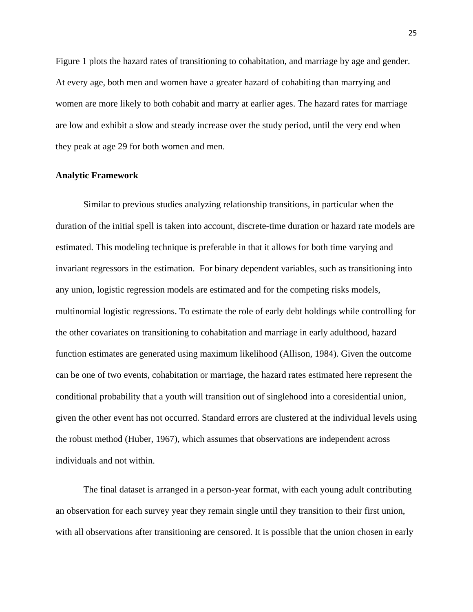Figure 1 plots the hazard rates of transitioning to cohabitation, and marriage by age and gender. At every age, both men and women have a greater hazard of cohabiting than marrying and women are more likely to both cohabit and marry at earlier ages. The hazard rates for marriage are low and exhibit a slow and steady increase over the study period, until the very end when they peak at age 29 for both women and men.

#### **Analytic Framework**

Similar to previous studies analyzing relationship transitions, in particular when the duration of the initial spell is taken into account, discrete-time duration or hazard rate models are estimated. This modeling technique is preferable in that it allows for both time varying and invariant regressors in the estimation. For binary dependent variables, such as transitioning into any union, logistic regression models are estimated and for the competing risks models, multinomial logistic regressions. To estimate the role of early debt holdings while controlling for the other covariates on transitioning to cohabitation and marriage in early adulthood, hazard function estimates are generated using maximum likelihood (Allison, 1984). Given the outcome can be one of two events, cohabitation or marriage, the hazard rates estimated here represent the conditional probability that a youth will transition out of singlehood into a coresidential union, given the other event has not occurred. Standard errors are clustered at the individual levels using the robust method (Huber, 1967), which assumes that observations are independent across individuals and not within.

The final dataset is arranged in a person-year format, with each young adult contributing an observation for each survey year they remain single until they transition to their first union, with all observations after transitioning are censored. It is possible that the union chosen in early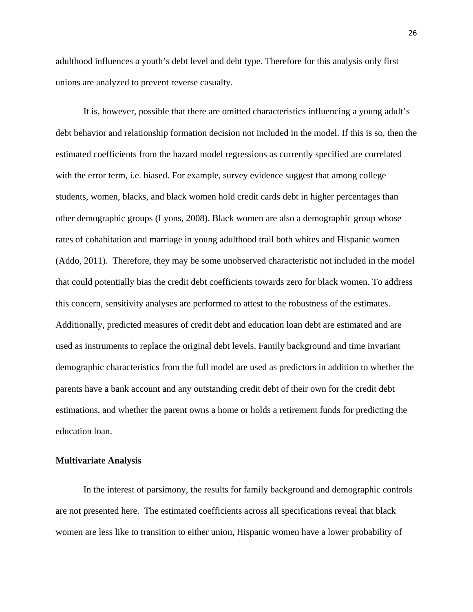adulthood influences a youth's debt level and debt type. Therefore for this analysis only first unions are analyzed to prevent reverse casualty.

It is, however, possible that there are omitted characteristics influencing a young adult's debt behavior and relationship formation decision not included in the model. If this is so, then the estimated coefficients from the hazard model regressions as currently specified are correlated with the error term, i.e. biased. For example, survey evidence suggest that among college students, women, blacks, and black women hold credit cards debt in higher percentages than other demographic groups (Lyons, 2008). Black women are also a demographic group whose rates of cohabitation and marriage in young adulthood trail both whites and Hispanic women (Addo, 2011). Therefore, they may be some unobserved characteristic not included in the model that could potentially bias the credit debt coefficients towards zero for black women. To address this concern, sensitivity analyses are performed to attest to the robustness of the estimates. Additionally, predicted measures of credit debt and education loan debt are estimated and are used as instruments to replace the original debt levels. Family background and time invariant demographic characteristics from the full model are used as predictors in addition to whether the parents have a bank account and any outstanding credit debt of their own for the credit debt estimations, and whether the parent owns a home or holds a retirement funds for predicting the education loan.

#### **Multivariate Analysis**

In the interest of parsimony, the results for family background and demographic controls are not presented here. The estimated coefficients across all specifications reveal that black women are less like to transition to either union, Hispanic women have a lower probability of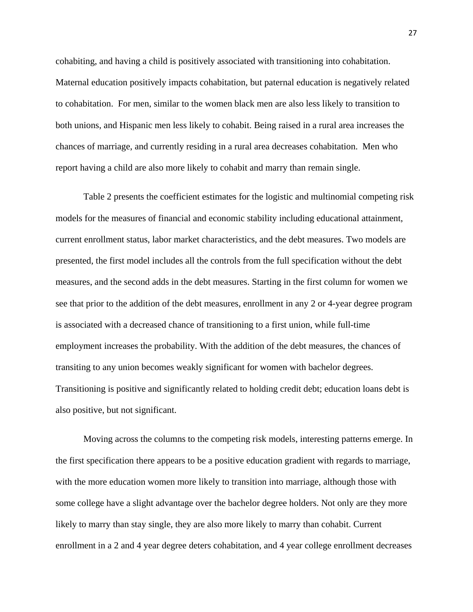cohabiting, and having a child is positively associated with transitioning into cohabitation. Maternal education positively impacts cohabitation, but paternal education is negatively related to cohabitation. For men, similar to the women black men are also less likely to transition to both unions, and Hispanic men less likely to cohabit. Being raised in a rural area increases the chances of marriage, and currently residing in a rural area decreases cohabitation. Men who report having a child are also more likely to cohabit and marry than remain single.

Table 2 presents the coefficient estimates for the logistic and multinomial competing risk models for the measures of financial and economic stability including educational attainment, current enrollment status, labor market characteristics, and the debt measures. Two models are presented, the first model includes all the controls from the full specification without the debt measures, and the second adds in the debt measures. Starting in the first column for women we see that prior to the addition of the debt measures, enrollment in any 2 or 4-year degree program is associated with a decreased chance of transitioning to a first union, while full-time employment increases the probability. With the addition of the debt measures, the chances of transiting to any union becomes weakly significant for women with bachelor degrees. Transitioning is positive and significantly related to holding credit debt; education loans debt is also positive, but not significant.

Moving across the columns to the competing risk models, interesting patterns emerge. In the first specification there appears to be a positive education gradient with regards to marriage, with the more education women more likely to transition into marriage, although those with some college have a slight advantage over the bachelor degree holders. Not only are they more likely to marry than stay single, they are also more likely to marry than cohabit. Current enrollment in a 2 and 4 year degree deters cohabitation, and 4 year college enrollment decreases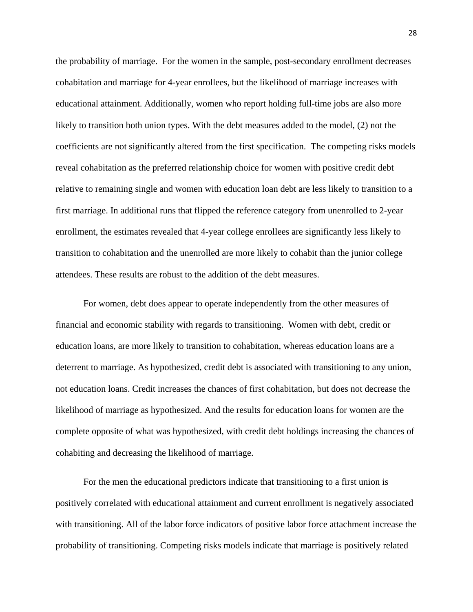the probability of marriage. For the women in the sample, post-secondary enrollment decreases cohabitation and marriage for 4-year enrollees, but the likelihood of marriage increases with educational attainment. Additionally, women who report holding full-time jobs are also more likely to transition both union types. With the debt measures added to the model, (2) not the coefficients are not significantly altered from the first specification. The competing risks models reveal cohabitation as the preferred relationship choice for women with positive credit debt relative to remaining single and women with education loan debt are less likely to transition to a first marriage. In additional runs that flipped the reference category from unenrolled to 2-year enrollment, the estimates revealed that 4-year college enrollees are significantly less likely to transition to cohabitation and the unenrolled are more likely to cohabit than the junior college attendees. These results are robust to the addition of the debt measures.

For women, debt does appear to operate independently from the other measures of financial and economic stability with regards to transitioning. Women with debt, credit or education loans, are more likely to transition to cohabitation, whereas education loans are a deterrent to marriage. As hypothesized, credit debt is associated with transitioning to any union, not education loans. Credit increases the chances of first cohabitation, but does not decrease the likelihood of marriage as hypothesized. And the results for education loans for women are the complete opposite of what was hypothesized, with credit debt holdings increasing the chances of cohabiting and decreasing the likelihood of marriage.

For the men the educational predictors indicate that transitioning to a first union is positively correlated with educational attainment and current enrollment is negatively associated with transitioning. All of the labor force indicators of positive labor force attachment increase the probability of transitioning. Competing risks models indicate that marriage is positively related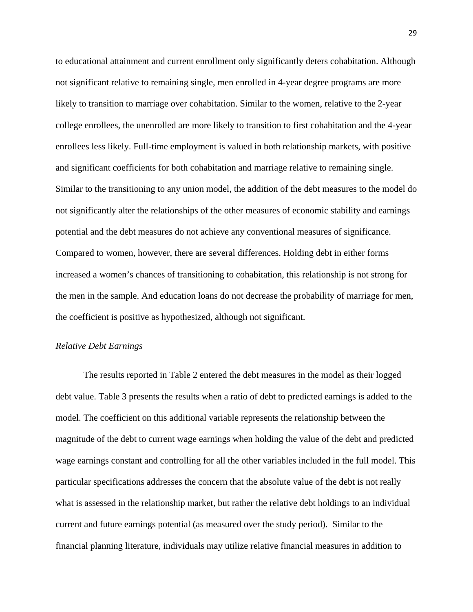to educational attainment and current enrollment only significantly deters cohabitation. Although not significant relative to remaining single, men enrolled in 4-year degree programs are more likely to transition to marriage over cohabitation. Similar to the women, relative to the 2-year college enrollees, the unenrolled are more likely to transition to first cohabitation and the 4-year enrollees less likely. Full-time employment is valued in both relationship markets, with positive and significant coefficients for both cohabitation and marriage relative to remaining single. Similar to the transitioning to any union model, the addition of the debt measures to the model do not significantly alter the relationships of the other measures of economic stability and earnings potential and the debt measures do not achieve any conventional measures of significance. Compared to women, however, there are several differences. Holding debt in either forms increased a women's chances of transitioning to cohabitation, this relationship is not strong for the men in the sample. And education loans do not decrease the probability of marriage for men, the coefficient is positive as hypothesized, although not significant.

## *Relative Debt Earnings*

The results reported in Table 2 entered the debt measures in the model as their logged debt value. Table 3 presents the results when a ratio of debt to predicted earnings is added to the model. The coefficient on this additional variable represents the relationship between the magnitude of the debt to current wage earnings when holding the value of the debt and predicted wage earnings constant and controlling for all the other variables included in the full model. This particular specifications addresses the concern that the absolute value of the debt is not really what is assessed in the relationship market, but rather the relative debt holdings to an individual current and future earnings potential (as measured over the study period). Similar to the financial planning literature, individuals may utilize relative financial measures in addition to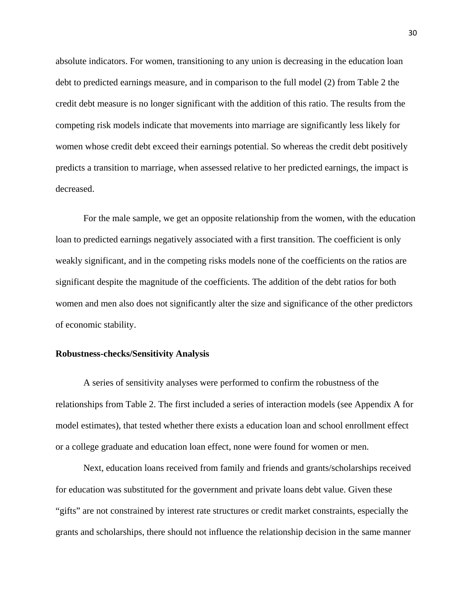absolute indicators. For women, transitioning to any union is decreasing in the education loan debt to predicted earnings measure, and in comparison to the full model (2) from Table 2 the credit debt measure is no longer significant with the addition of this ratio. The results from the competing risk models indicate that movements into marriage are significantly less likely for women whose credit debt exceed their earnings potential. So whereas the credit debt positively predicts a transition to marriage, when assessed relative to her predicted earnings, the impact is decreased.

For the male sample, we get an opposite relationship from the women, with the education loan to predicted earnings negatively associated with a first transition. The coefficient is only weakly significant, and in the competing risks models none of the coefficients on the ratios are significant despite the magnitude of the coefficients. The addition of the debt ratios for both women and men also does not significantly alter the size and significance of the other predictors of economic stability.

#### **Robustness-checks/Sensitivity Analysis**

A series of sensitivity analyses were performed to confirm the robustness of the relationships from Table 2. The first included a series of interaction models (see Appendix A for model estimates), that tested whether there exists a education loan and school enrollment effect or a college graduate and education loan effect, none were found for women or men.

Next, education loans received from family and friends and grants/scholarships received for education was substituted for the government and private loans debt value. Given these "gifts" are not constrained by interest rate structures or credit market constraints, especially the grants and scholarships, there should not influence the relationship decision in the same manner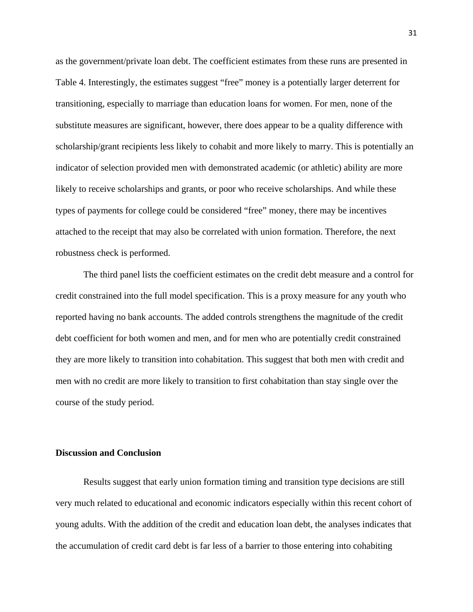as the government/private loan debt. The coefficient estimates from these runs are presented in Table 4. Interestingly, the estimates suggest "free" money is a potentially larger deterrent for transitioning, especially to marriage than education loans for women. For men, none of the substitute measures are significant, however, there does appear to be a quality difference with scholarship/grant recipients less likely to cohabit and more likely to marry. This is potentially an indicator of selection provided men with demonstrated academic (or athletic) ability are more likely to receive scholarships and grants, or poor who receive scholarships. And while these types of payments for college could be considered "free" money, there may be incentives attached to the receipt that may also be correlated with union formation. Therefore, the next robustness check is performed.

The third panel lists the coefficient estimates on the credit debt measure and a control for credit constrained into the full model specification. This is a proxy measure for any youth who reported having no bank accounts. The added controls strengthens the magnitude of the credit debt coefficient for both women and men, and for men who are potentially credit constrained they are more likely to transition into cohabitation. This suggest that both men with credit and men with no credit are more likely to transition to first cohabitation than stay single over the course of the study period.

#### **Discussion and Conclusion**

Results suggest that early union formation timing and transition type decisions are still very much related to educational and economic indicators especially within this recent cohort of young adults. With the addition of the credit and education loan debt, the analyses indicates that the accumulation of credit card debt is far less of a barrier to those entering into cohabiting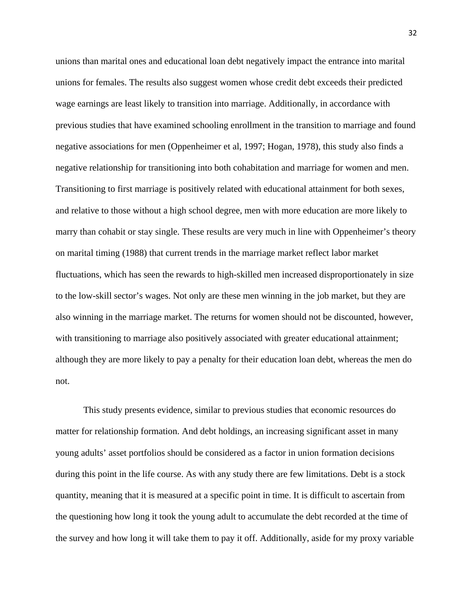unions than marital ones and educational loan debt negatively impact the entrance into marital unions for females. The results also suggest women whose credit debt exceeds their predicted wage earnings are least likely to transition into marriage. Additionally, in accordance with previous studies that have examined schooling enrollment in the transition to marriage and found negative associations for men (Oppenheimer et al, 1997; Hogan, 1978), this study also finds a negative relationship for transitioning into both cohabitation and marriage for women and men. Transitioning to first marriage is positively related with educational attainment for both sexes, and relative to those without a high school degree, men with more education are more likely to marry than cohabit or stay single. These results are very much in line with Oppenheimer's theory on marital timing (1988) that current trends in the marriage market reflect labor market fluctuations, which has seen the rewards to high-skilled men increased disproportionately in size to the low-skill sector's wages. Not only are these men winning in the job market, but they are also winning in the marriage market. The returns for women should not be discounted, however, with transitioning to marriage also positively associated with greater educational attainment; although they are more likely to pay a penalty for their education loan debt, whereas the men do not.

This study presents evidence, similar to previous studies that economic resources do matter for relationship formation. And debt holdings, an increasing significant asset in many young adults' asset portfolios should be considered as a factor in union formation decisions during this point in the life course. As with any study there are few limitations. Debt is a stock quantity, meaning that it is measured at a specific point in time. It is difficult to ascertain from the questioning how long it took the young adult to accumulate the debt recorded at the time of the survey and how long it will take them to pay it off. Additionally, aside for my proxy variable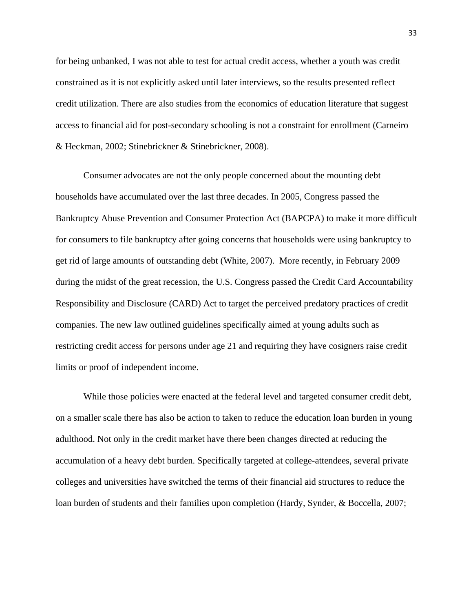for being unbanked, I was not able to test for actual credit access, whether a youth was credit constrained as it is not explicitly asked until later interviews, so the results presented reflect credit utilization. There are also studies from the economics of education literature that suggest access to financial aid for post-secondary schooling is not a constraint for enrollment (Carneiro & Heckman, 2002; Stinebrickner & Stinebrickner, 2008).

Consumer advocates are not the only people concerned about the mounting debt households have accumulated over the last three decades. In 2005, Congress passed the Bankruptcy Abuse Prevention and Consumer Protection Act (BAPCPA) to make it more difficult for consumers to file bankruptcy after going concerns that households were using bankruptcy to get rid of large amounts of outstanding debt (White, 2007). More recently, in February 2009 during the midst of the great recession, the U.S. Congress passed the Credit Card Accountability Responsibility and Disclosure (CARD) Act to target the perceived predatory practices of credit companies. The new law outlined guidelines specifically aimed at young adults such as restricting credit access for persons under age 21 and requiring they have cosigners raise credit limits or proof of independent income.

While those policies were enacted at the federal level and targeted consumer credit debt, on a smaller scale there has also be action to taken to reduce the education loan burden in young adulthood. Not only in the credit market have there been changes directed at reducing the accumulation of a heavy debt burden. Specifically targeted at college-attendees, several private colleges and universities have switched the terms of their financial aid structures to reduce the loan burden of students and their families upon completion (Hardy, Synder, & Boccella, 2007;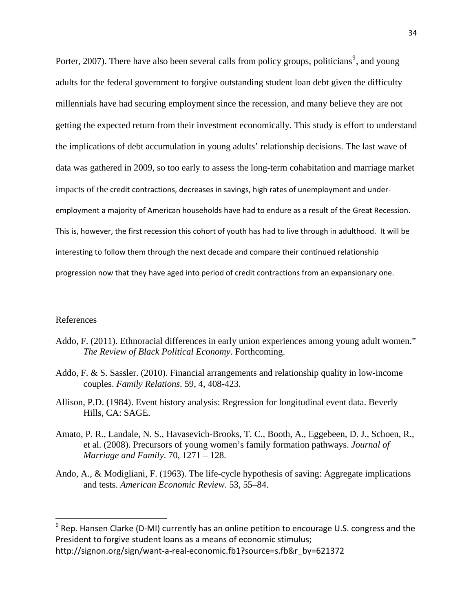Porter, 2007). There have also been several calls from policy groups, politicians<sup>[9](#page-33-0)</sup>, and young adults for the federal government to forgive outstanding student loan debt given the difficulty millennials have had securing employment since the recession, and many believe they are not getting the expected return from their investment economically. This study is effort to understand the implications of debt accumulation in young adults' relationship decisions. The last wave of data was gathered in 2009, so too early to assess the long-term cohabitation and marriage market impacts of the credit contractions, decreases in savings, high rates of unemployment and under‐ employment a majority of American households have had to endure as a result of the Great Recession. This is, however, the first recession this cohort of youth has had to live through in adulthood. It will be interesting to follow them through the next decade and compare their continued relationship progression now that they have aged into period of credit contractions from an expansionary one.

#### References

- Addo, F. (2011). Ethnoracial differences in early union experiences among young adult women." *The Review of Black Political Economy*. Forthcoming.
- Addo, F. & S. Sassler. (2010). Financial arrangements and relationship quality in low-income couples. *Family Relations*. 59, 4, 408-423.
- Allison, P.D. (1984). Event history analysis: Regression for longitudinal event data. Beverly Hills, CA: SAGE.
- Amato, P. R., Landale, N. S., Havasevich-Brooks, T. C., Booth, A., Eggebeen, D. J., Schoen, R., et al. (2008). Precursors of young women's family formation pathways. *Journal of Marriage and Family*. 70, 1271 – 128.
- Ando, A., & Modigliani, F. (1963). The life-cycle hypothesis of saving: Aggregate implications and tests. *American Economic Review*. 53, 55–84.

<span id="page-33-0"></span><sup>&</sup>lt;sup>9</sup> Rep. Hansen Clarke (D-MI) currently has an online petition to encourage U.S. congress and the President to forgive student loans as a means of economic stimulus; http://signon.org/sign/want-a-real-economic.fb1?source=s.fb&r\_by=621372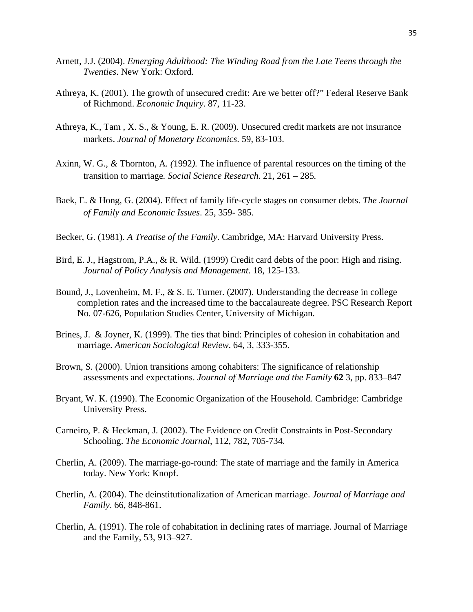- Arnett, J.J. (2004). *Emerging Adulthood: The Winding Road from the Late Teens through the Twenties*. New York: Oxford.
- Athreya, K. (2001). The growth of unsecured credit: Are we better off?" Federal Reserve Bank of Richmond. *Economic Inquiry*. 87, 11-23.
- Athreya, K., Tam , X. S., & Young, E. R. (2009). Unsecured credit markets are not insurance markets. *Journal of Monetary Economics*. 59, 83-103.
- Axinn, W. G.*, &* Thornton, A*. (*1992*).* The influence of parental resources on the timing of the transition to marriage*. Social Science Research.* 21*,* 261 *–* 285*.*
- Baek, E. & Hong, G. (2004). Effect of family life-cycle stages on consumer debts. *The Journal of Family and Economic Issues*. 25, 359- 385.
- Becker, G. (1981). *A Treatise of the Family*. Cambridge, MA: Harvard University Press.
- Bird, E. J., Hagstrom, P.A., & R. Wild. (1999) Credit card debts of the poor: High and rising. *Journal of Policy Analysis and Management*. 18, 125-133.
- Bound, J., Lovenheim, M. F., & S. E. Turner. (2007). Understanding the decrease in college completion rates and the increased time to the baccalaureate degree. PSC Research Report No. 07-626, Population Studies Center, University of Michigan.
- Brines, J. & Joyner, K. (1999). The ties that bind: Principles of cohesion in cohabitation and marriage. *American Sociological Review*. 64, 3, 333-355.
- Brown, S. (2000). Union transitions among cohabiters: The significance of relationship assessments and expectations. *Journal of Marriage and the Family* **62** 3, pp. 833–847
- Bryant, W. K. (1990). The Economic Organization of the Household. Cambridge: Cambridge University Press.
- Carneiro, P. & Heckman, J. (2002). The Evidence on Credit Constraints in Post-Secondary Schooling. *The Economic Journal*, 112, 782, 705-734.
- Cherlin, A. (2009). The marriage-go-round: The state of marriage and the family in America today. New York: Knopf.
- Cherlin, A. (2004). The deinstitutionalization of American marriage. *Journal of Marriage and Family*. 66, 848-861.
- Cherlin, A. (1991). The role of cohabitation in declining rates of marriage. Journal of Marriage and the Family, 53, 913–927.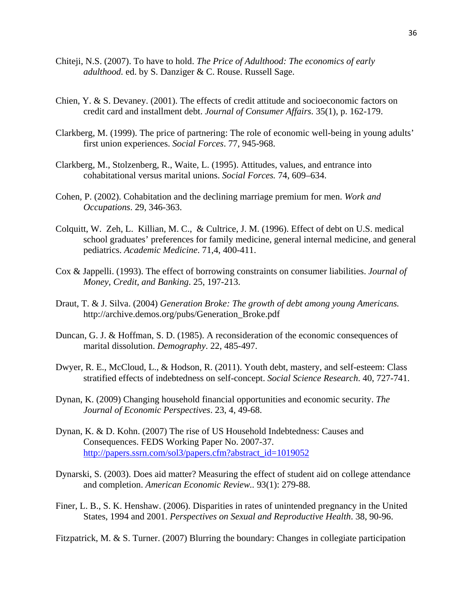- Chiteji, N.S. (2007). To have to hold. *The Price of Adulthood: The economics of early adulthood.* ed. by S. Danziger & C. Rouse. Russell Sage.
- Chien, Y. & S. Devaney. (2001). The effects of credit attitude and socioeconomic factors on credit card and installment debt. *Journal of Consumer Affairs*. 35(1), p. 162-179.
- Clarkberg, M. (1999). The price of partnering: The role of economic well-being in young adults' first union experiences. *Social Forces*. 77, 945-968.
- Clarkberg, M., Stolzenberg, R., Waite, L. (1995). Attitudes, values, and entrance into cohabitational versus marital unions. *Social Forces.* 74, 609–634.
- Cohen, P. (2002). Cohabitation and the declining marriage premium for men. *Work and Occupations*. 29, 346-363.
- Colquitt, W. Zeh, L. Killian, M. C., & Cultrice, J. M. (1996). Effect of debt on U.S. medical school graduates' preferences for family medicine, general internal medicine, and general pediatrics. *Academic Medicine*. 71,4, 400-411.
- Cox & Jappelli. (1993). The effect of borrowing constraints on consumer liabilities. *Journal of Money, Credit, and Banking*. 25, 197-213.
- Draut, T. & J. Silva. (2004) *Generation Broke: The growth of debt among young Americans.*  http://archive.demos.org/pubs/Generation\_Broke.pdf
- Duncan, G. J. & Hoffman, S. D. (1985). A reconsideration of the economic consequences of marital dissolution. *Demography*. 22, 485-497.
- Dwyer, R. E., McCloud, L., & Hodson, R. (2011). Youth debt, mastery, and self-esteem: Class stratified effects of indebtedness on self-concept. *Social Science Research*. 40, 727-741.
- Dynan, K. (2009) Changing household financial opportunities and economic security. *The Journal of Economic Perspectives*. 23, 4, 49-68.
- Dynan, K. & D. Kohn. (2007) The rise of US Household Indebtedness: Causes and Consequences. FEDS Working Paper No. 2007-37. [http://papers.ssrn.com/sol3/papers.cfm?abstract\\_id=1019052](http://papers.ssrn.com/sol3/papers.cfm?abstract_id=1019052)
- Dynarski, S. (2003). Does aid matter? Measuring the effect of student aid on college attendance and completion. *American Economic Review..* 93(1): 279-88.
- Finer, L. B., S. K. Henshaw. (2006). Disparities in rates of unintended pregnancy in the United States, 1994 and 2001. *Perspectives on Sexual and Reproductive Health*. 38, 90-96.
- Fitzpatrick, M. & S. Turner. (2007) Blurring the boundary: Changes in collegiate participation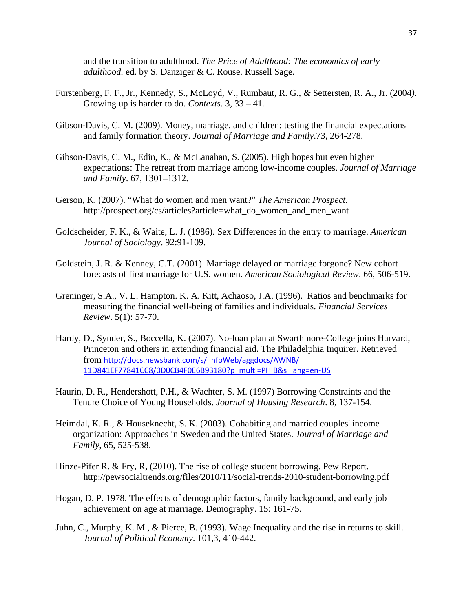and the transition to adulthood. *The Price of Adulthood: The economics of early adulthood.* ed. by S. Danziger & C. Rouse. Russell Sage.

- Furstenberg, F. F., Jr*.,* Kennedy, S.*,* McLoyd, V.*,* Rumbaut, R. G.*, &* Settersten, R. A., Jr*.* (2004*).*  Growing up is harder to do*. Contexts.* 3*,* 33 *–* 41*.*
- Gibson-Davis, C. M. (2009). Money, marriage, and children: testing the financial expectations and family formation theory. *Journal of Marriage and Family*.73, 264-278.
- Gibson-Davis, C. M., Edin, K., & McLanahan, S. (2005). High hopes but even higher expectations: The retreat from marriage among low-income couples. *Journal of Marriage and Family*. 67, 1301–1312.
- Gerson, K. (2007). "What do women and men want?" *The American Prospect*. http://prospect.org/cs/articles?article=what\_do\_women\_and\_men\_want
- Goldscheider, F. K., & Waite, L. J. (1986). Sex Differences in the entry to marriage. *American Journal of Sociology*. 92:91-109.
- Goldstein, J. R. & Kenney, C.T. (2001). Marriage delayed or marriage forgone? New cohort forecasts of first marriage for U.S. women. *American Sociological Review*. 66, 506-519.
- Greninger, S.A., V. L. Hampton. K. A. Kitt, Achaoso, J.A. (1996). Ratios and benchmarks for measuring the financial well-being of families and individuals. *Financial Services Review*. 5(1): 57-70.
- Hardy, D., Synder, S., Boccella, K. (2007). No-loan plan at Swarthmore-College joins Harvard, Princeton and others in extending financial aid. The Philadelphia Inquirer. Retrieved from [http://docs.newsbank.com/s/](http://docs.newsbank.com/s/%20InfoWeb/aggdocs/AWNB/%2011D841EF77841CC8/0D0CB4F0E6B93180?p_multi=PHIB&s_lang=en-US) InfoWeb/aggdocs/AWNB/ [11D841EF77841CC8/0D0CB4F0E6B93180?p\\_multi=PHIB&s\\_lang=en](http://docs.newsbank.com/s/%20InfoWeb/aggdocs/AWNB/%2011D841EF77841CC8/0D0CB4F0E6B93180?p_multi=PHIB&s_lang=en-US)-US
- Haurin, D. R., Hendershott, P.H., & Wachter, S. M. (1997) Borrowing Constraints and the Tenure Choice of Young Households. *Journal of Housing Research*. 8, 137-154.
- Heimdal, K. R., & Houseknecht, S. K. (2003). Cohabiting and married couples' income organization: Approaches in Sweden and the United States. *Journal of Marriage and Family,* 65, 525-538.
- Hinze-Pifer R. & Fry, R, (2010). The rise of college student borrowing. Pew Report. http://pewsocialtrends.org/files/2010/11/social-trends-2010-student-borrowing.pdf
- Hogan, D. P. 1978. The effects of demographic factors, family background, and early job achievement on age at marriage. Demography. 15: 161-75.
- Juhn, C., Murphy, K. M., & Pierce, B. (1993). Wage Inequality and the rise in returns to skill. *Journal of Political Economy*. 101,3, 410-442.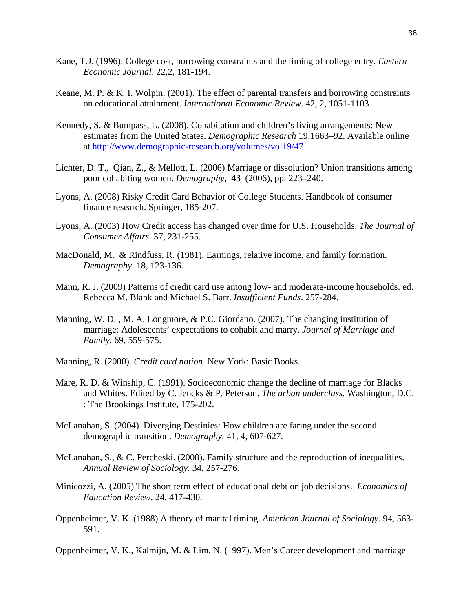- Kane, T.J. (1996). College cost, borrowing constraints and the timing of college entry. *Eastern Economic Journal*. 22,2, 181-194.
- Keane, M. P. & K. I. Wolpin. (2001). The effect of parental transfers and borrowing constraints on educational attainment. *International Economic Review*. 42, 2, 1051-1103.
- Kennedy, S. & Bumpass, L. (2008). Cohabitation and children's living arrangements: New estimates from the United States. *Demographic Research* 19:1663–92. Available online at <http://www.demographic-research.org/volumes/vol19/47>
- Lichter, D. T., Qian, Z., & Mellott, L. (2006) Marriage or dissolution? Union transitions among poor cohabiting women. *Demography*, **43** (2006), pp. 223–240.
- Lyons, A. (2008) Risky Credit Card Behavior of College Students. Handbook of consumer finance research. Springer, 185-207.
- Lyons, A. (2003) How Credit access has changed over time for U.S. Households. *The Journal of Consumer Affairs*. 37, 231-255.
- MacDonald, M. & Rindfuss, R. (1981). Earnings, relative income, and family formation. *Demography*. 18, 123-136.
- Mann, R. J. (2009) Patterns of credit card use among low- and moderate-income households. ed. Rebecca M. Blank and Michael S. Barr. *Insufficient Funds*. 257-284.
- Manning, W. D. , M. A. Longmore, & P.C. Giordano. (2007). The changing institution of marriage: Adolescents' expectations to cohabit and marry. *Journal of Marriage and Family.* 69, 559-575.
- Manning, R. (2000). *Credit card nation*. New York: Basic Books.
- Mare, R. D. & Winship, C. (1991). Socioeconomic change the decline of marriage for Blacks and Whites. Edited by C. Jencks & P. Peterson. *The urban underclass.* Washington, D.C. : The Brookings Institute, 175-202.
- McLanahan, S. (2004). Diverging Destinies: How children are faring under the second demographic transition. *Demography.* 41, 4, 607-627.
- McLanahan, S., & C. Percheski. (2008). Family structure and the reproduction of inequalities. *Annual Review of Sociology*. 34, 257-276.
- Minicozzi, A. (2005) The short term effect of educational debt on job decisions. *Economics of Education Review*. 24, 417-430.
- Oppenheimer, V. K. (1988) A theory of marital timing. *American Journal of Sociology*. 94, 563- 591.
- Oppenheimer, V. K., Kalmijn, M. & Lim, N. (1997). Men's Career development and marriage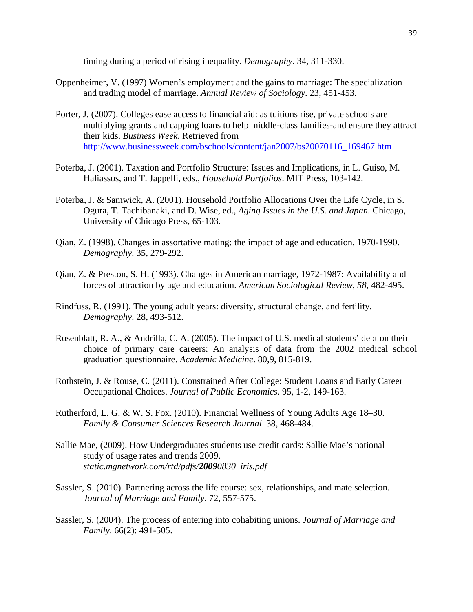timing during a period of rising inequality. *Demography*. 34, 311-330.

- Oppenheimer, V. (1997) Women's employment and the gains to marriage: The specialization and trading model of marriage. *Annual Review of Sociology*. 23, 451-453.
- Porter, J. (2007). Colleges ease access to financial aid: as tuitions rise, private schools are multiplying grants and capping loans to help middle-class families-and ensure they attract their kids. *Business Week*. Retrieved from [http://www.businessweek.com/bschools/content/jan2007/bs20070116\\_169467.htm](http://www.businessweek.com/bschools/content/jan2007/bs20070116_169467.htm)
- Poterba, J. (2001). Taxation and Portfolio Structure: Issues and Implications, in L. Guiso, M. Haliassos, and T. Jappelli, eds., *Household Portfolios*. MIT Press, 103-142.
- Poterba, J. & Samwick, A. (2001). Household Portfolio Allocations Over the Life Cycle, in S. Ogura, T. Tachibanaki, and D. Wise, ed., *Aging Issues in the U.S. and Japan.* Chicago, University of Chicago Press, 65-103.
- Qian, Z. (1998). Changes in assortative mating: the impact of age and education, 1970-1990. *Demography*. 35, 279-292.
- Qian, Z. & Preston, S. H. (1993). Changes in American marriage, 1972-1987: Availability and forces of attraction by age and education. *American Sociological Review, 58,* 482-495.
- Rindfuss, R. (1991). The young adult years: diversity, structural change, and fertility. *Demography*. 28, 493-512.
- Rosenblatt, R. A., & Andrilla, C. A. (2005). The impact of U.S. medical students' debt on their choice of primary care careers: An analysis of data from the 2002 medical school graduation questionnaire. *Academic Medicine*. 80,9, 815-819.
- Rothstein, J. & Rouse, C. (2011). Constrained After College: Student Loans and Early Career Occupational Choices. *Journal of Public Economics*. 95, 1-2, 149-163.
- Rutherford, L. G. & W. S. Fox. (2010). Financial Wellness of Young Adults Age 18–30. *Family & Consumer Sciences Research Journal*. 38, 468-484.
- Sallie Mae, (2009). How Undergraduates students use credit cards: Sallie Mae's national study of usage rates and trends 2009. *static.mgnetwork.com/rtd/pdfs/20090830\_iris.pdf*
- Sassler, S. (2010). Partnering across the life course: sex, relationships, and mate selection. *Journal of Marriage and Family*. 72, 557-575.
- Sassler, S. (2004). The process of entering into cohabiting unions. *Journal of Marriage and Family*. 66(2): 491-505.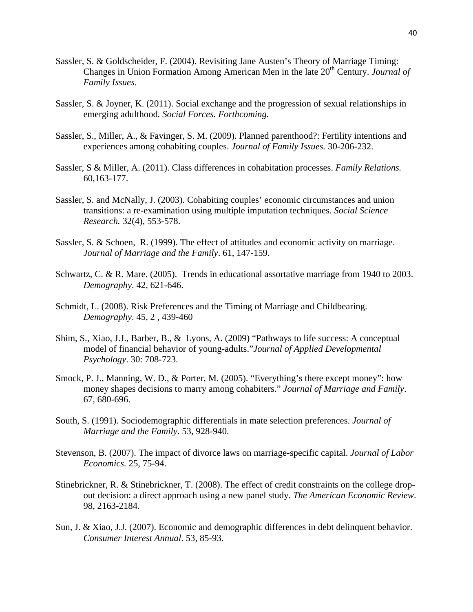- Sassler, S. & Goldscheider, F. (2004). Revisiting Jane Austen's Theory of Marriage Timing: Changes in Union Formation Among American Men in the late 20<sup>th</sup> Century. *Journal of Family Issues.*
- Sassler, S. & Joyner, K. (2011). Social exchange and the progression of sexual relationships in emerging adulthood*. Social Forces. Forthcoming.*
- Sassler, S., Miller, A., & Favinger, S. M. (2009). Planned parenthood?: Fertility intentions and experiences among cohabiting couples. *Journal of Family Issues.* 30-206-232.
- Sassler, S & Miller, A. (2011). Class differences in cohabitation processes. *Family Relations.* 60,163-177.
- Sassler, S. and McNally, J. (2003). Cohabiting couples' economic circumstances and union transitions: a re-examination using multiple imputation techniques. *Social Science Research.* 32(4), 553-578.
- Sassler, S. & Schoen, R. (1999). The effect of attitudes and economic activity on marriage. *Journal of Marriage and the Family*. 61, 147-159.
- Schwartz, C. & R. Mare. (2005). Trends in educational assortative marriage from 1940 to 2003. *Demography*. 42, 621-646.
- Schmidt, L. (2008). Risk Preferences and the Timing of Marriage and Childbearing. *Demography*. 45, 2 , 439-460
- Shim, S., Xiao, J.J., Barber, B., & Lyons, A. (2009) "Pathways to life success: A conceptual model of financial behavior of young-adults."*Journal of Applied Developmental Psychology*. 30: 708-723.
- Smock, P. J., Manning, W. D., & Porter, M. (2005). "Everything's there except money": how money shapes decisions to marry among cohabiters." *Journal of Marriage and Family*. 67, 680-696.
- South, S. (1991). Sociodemographic differentials in mate selection preferences. *Journal of Marriage and the Family*. 53, 928-940.
- Stevenson, B. (2007). The impact of divorce laws on marriage-specific capital. *Journal of Labor Economics.* 25, 75-94.
- Stinebrickner, R. & Stinebrickner, T. (2008). The effect of credit constraints on the college dropout decision: a direct approach using a new panel study. *The American Economic Review*. 98, 2163-2184.
- Sun, J. & Xiao, J.J. (2007). Economic and demographic differences in debt delinquent behavior. *Consumer Interest Annual*. 53, 85-93.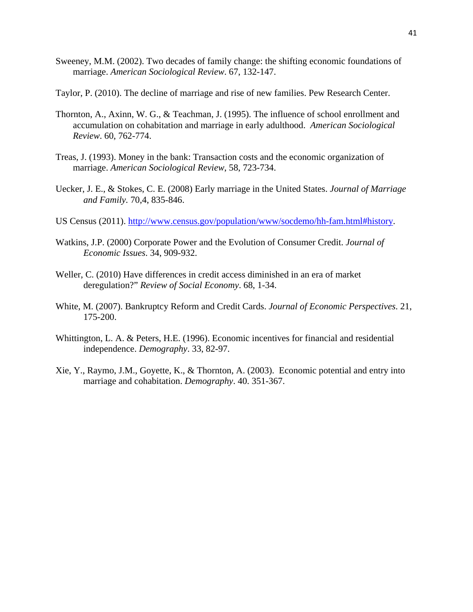- Sweeney, M.M. (2002). Two decades of family change: the shifting economic foundations of marriage. *American Sociological Review*. 67, 132-147.
- Taylor, P. (2010). The decline of marriage and rise of new families. Pew Research Center.
- Thornton, A., Axinn, W. G., & Teachman, J. (1995). The influence of school enrollment and accumulation on cohabitation and marriage in early adulthood. *American Sociological Review*. 60, 762-774.
- Treas, J. (1993). Money in the bank: Transaction costs and the economic organization of marriage. *American Sociological Review*, 58, 723-734.
- Uecker, J. E., & Stokes, C. E. (2008) Early marriage in the United States. *Journal of Marriage and Family.* 70,4, 835-846.
- US Census (2011). [http://www.census.gov/population/www/socdemo/hh-fam.html#history.](http://www.census.gov/population/www/socdemo/hh-fam.html#history)
- Watkins, J.P. (2000) Corporate Power and the Evolution of Consumer Credit. *Journal of Economic Issues*. 34, 909-932.
- Weller, C. (2010) Have differences in credit access diminished in an era of market deregulation?" *Review of Social Economy*. 68, 1-34.
- White, M. (2007). Bankruptcy Reform and Credit Cards. *Journal of Economic Perspectives*. 21, 175-200.
- Whittington, L. A. & Peters, H.E. (1996). Economic incentives for financial and residential independence. *Demography*. 33, 82-97.
- Xie, Y., Raymo, J.M., Goyette, K., & Thornton, A. (2003). Economic potential and entry into marriage and cohabitation. *Demography*. 40. 351-367.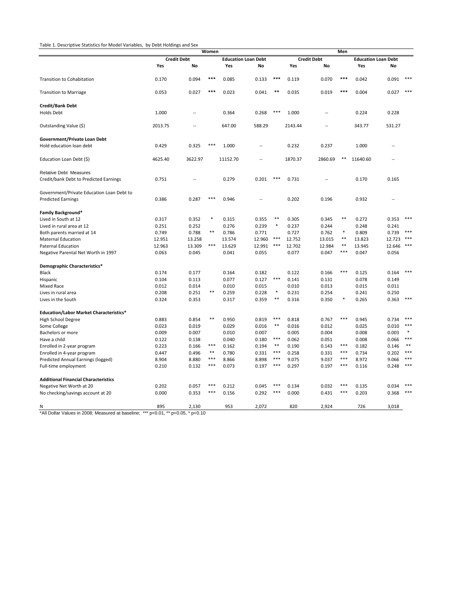#### Table 1. Descriptive Statistics for Model Variables, by Debt Holdings and Sex

| <b>Credit Debt</b><br><b>Education Loan Debt</b><br><b>Credit Debt</b><br><b>Education Loan Debt</b><br><b>No</b><br>Yes<br>Yes<br>No<br>Yes<br>No<br>Yes<br>No<br>0.170<br>0.094<br>***<br>0.085<br>***<br>0.119<br>0.070<br>***<br>0.042<br>0.091<br>***<br><b>Transition to Cohabitation</b><br>0.133<br>0.053<br>0.027<br>***<br>0.041<br>$***$<br>0.035<br>0.019<br>***<br>0.004<br>***<br>0.023<br>0.027<br>***<br>Holds Debt<br>1.000<br>0.364<br>0.268<br>1.000<br>0.224<br>0.228<br>Ξ.<br>Ξ.<br>Outstanding Value (\$)<br>2013.75<br>647.00<br>588.29<br>343.77<br>531.27<br>2143.44<br>Government/Private Loan Debt<br>0.429<br>0.325<br>***<br>1.000<br>0.232<br>0.237<br>1.000<br>$\overline{a}$<br>ц,<br>4625.40<br>3622.97<br>1870.37<br>2860.69<br>**<br>Education Loan Debt (\$)<br>11152.70<br>11640.60<br><b>Relative Debt Measures</b><br>0.751<br>0.279<br>0.201<br>***<br>0.731<br>0.170<br>0.165<br>$\sim$<br>Government/Private Education Loan Debt to<br>***<br><b>Predicted Earnings</b><br>0.202<br>0.196<br>0.932<br>0.386<br>0.287<br>0.946<br><b>Family Background*</b><br>$\ast$<br>$***$<br>0.317<br>0.352<br>0.315<br>**<br>0.305<br>0.345<br>0.272<br>***<br>Lived in South at 12<br>0.355<br>0.353<br>$\ast$<br>0.251<br>0.252<br>0.276<br>0.239<br>0.237<br>0.244<br>0.248<br>Lived in rural area at 12<br>0.241<br>$***$<br>$\ast$<br>0.749<br>0.788<br>0.786<br>0.771<br>0.727<br>0.762<br>0.809<br>0.739<br>$***$<br>Both parents married at 14<br>$\ast\ast$<br>$***$<br>13.258<br>12.960<br>12.752<br>13.015<br>13.823<br>12.723<br>***<br><b>Maternal Education</b><br>12.951<br>13.574<br>***<br>12.963<br>13.309<br>13.629<br>12.991<br>***<br>12.702<br>12.984<br>$\ast\ast$<br>13.945<br>12.646<br>***<br><b>Paternal Education</b><br>***<br>0.041<br>0.055<br>0.077<br>0.047<br>0.056<br>0.063<br>0.045<br>0.047<br>0.174<br>0.177<br>0.122<br>0.166<br>***<br>0.164<br>0.182<br>0.125<br>0.164<br>$***$<br>0.104<br>0.113<br>0.077<br>0.127<br>0.141<br>0.131<br>0.078<br>0.149<br>0.012<br>0.014<br>0.015<br>0.013<br>0.015<br>0.011<br>Mixed Race<br>0.010<br>0.010<br>**<br>$\ast$<br>0.254<br>0.208<br>0.251<br>0.259<br>0.228<br>0.231<br>0.241<br>0.250<br>Lives in rural area<br>0.324<br>0.353<br>0.359<br>$***$<br>0.316<br>0.350<br>0.265<br>***<br>0.317<br>*<br>0.363<br>$**$<br>***<br>***<br>0.883<br>0.854<br>0.950<br>0.819<br>0.818<br>0.767<br>0.945<br>0.734<br>***<br>$**$<br>0.023<br>0.016<br>0.012<br>***<br>0.019<br>0.029<br>0.016<br>0.025<br>0.010<br>0.009<br>0.007<br>0.010<br>0.007<br>0.005<br>0.004<br>0.008<br>0.003<br>寒<br>***<br>$***$<br>0.122<br>0.138<br>0.040<br>0.180<br>0.062<br>0.051<br>0.008<br>0.066<br>Have a child<br>***<br>$***$<br>***<br>$* *$<br>0.223<br>0.166<br>0.162<br>0.194<br>0.190<br>0.143<br>0.182<br>Enrolled in 2-year program<br>0.146<br>$\ast\ast$<br>***<br>$***$<br>***<br>0.447<br>0.496<br>0.780<br>0.331<br>0.258<br>0.331<br>0.734<br>0.202<br>Enrolled in 4-year program<br>***<br>***<br>***<br>***<br>8.904<br>8.880<br>8.866<br>8.898<br>9.075<br>9.037<br>8.972<br>Predicted Annual Earnings (logged)<br>9.066<br>***<br>***<br>$***$<br>$***$<br>0.210<br>0.132<br>0.073<br>0.197<br>0.297<br>0.197<br>0.116<br>0.248<br>Full-time employment<br>$***$<br>0.202<br>0.057<br>0.212<br>***<br>0.032<br>***<br>Negative Net Worth at 20<br>0.045<br>0.134<br>0.135<br>0.034<br>$***$<br>***<br>***<br>0.000<br>0.000<br>0.353<br>0.156<br>0.292<br>0.431<br>0.203<br>0.368 |                                                | Women |       |  |     |       |  | Men |       |  |     |       |  |  |  |
|---------------------------------------------------------------------------------------------------------------------------------------------------------------------------------------------------------------------------------------------------------------------------------------------------------------------------------------------------------------------------------------------------------------------------------------------------------------------------------------------------------------------------------------------------------------------------------------------------------------------------------------------------------------------------------------------------------------------------------------------------------------------------------------------------------------------------------------------------------------------------------------------------------------------------------------------------------------------------------------------------------------------------------------------------------------------------------------------------------------------------------------------------------------------------------------------------------------------------------------------------------------------------------------------------------------------------------------------------------------------------------------------------------------------------------------------------------------------------------------------------------------------------------------------------------------------------------------------------------------------------------------------------------------------------------------------------------------------------------------------------------------------------------------------------------------------------------------------------------------------------------------------------------------------------------------------------------------------------------------------------------------------------------------------------------------------------------------------------------------------------------------------------------------------------------------------------------------------------------------------------------------------------------------------------------------------------------------------------------------------------------------------------------------------------------------------------------------------------------------------------------------------------------------------------------------------------------------------------------------------------------------------------------------------------------------------------------------------------------------------------------------------------------------------------------------------------------------------------------------------------------------------------------------------------------------------------------------------------------------------------------------------------------------------------------------------------------------------------------------------------------------------------------------------------------------------------------------------------------------------------------------------------------------------------------------------------------------------------------------------------------------------------------------------------------------------------------------------------------------------------------|------------------------------------------------|-------|-------|--|-----|-------|--|-----|-------|--|-----|-------|--|--|--|
|                                                                                                                                                                                                                                                                                                                                                                                                                                                                                                                                                                                                                                                                                                                                                                                                                                                                                                                                                                                                                                                                                                                                                                                                                                                                                                                                                                                                                                                                                                                                                                                                                                                                                                                                                                                                                                                                                                                                                                                                                                                                                                                                                                                                                                                                                                                                                                                                                                                                                                                                                                                                                                                                                                                                                                                                                                                                                                                                                                                                                                                                                                                                                                                                                                                                                                                                                                                                                                                                                                         |                                                |       |       |  |     |       |  |     |       |  |     |       |  |  |  |
|                                                                                                                                                                                                                                                                                                                                                                                                                                                                                                                                                                                                                                                                                                                                                                                                                                                                                                                                                                                                                                                                                                                                                                                                                                                                                                                                                                                                                                                                                                                                                                                                                                                                                                                                                                                                                                                                                                                                                                                                                                                                                                                                                                                                                                                                                                                                                                                                                                                                                                                                                                                                                                                                                                                                                                                                                                                                                                                                                                                                                                                                                                                                                                                                                                                                                                                                                                                                                                                                                                         |                                                |       |       |  |     |       |  |     |       |  |     |       |  |  |  |
|                                                                                                                                                                                                                                                                                                                                                                                                                                                                                                                                                                                                                                                                                                                                                                                                                                                                                                                                                                                                                                                                                                                                                                                                                                                                                                                                                                                                                                                                                                                                                                                                                                                                                                                                                                                                                                                                                                                                                                                                                                                                                                                                                                                                                                                                                                                                                                                                                                                                                                                                                                                                                                                                                                                                                                                                                                                                                                                                                                                                                                                                                                                                                                                                                                                                                                                                                                                                                                                                                                         |                                                |       |       |  |     |       |  |     |       |  |     |       |  |  |  |
|                                                                                                                                                                                                                                                                                                                                                                                                                                                                                                                                                                                                                                                                                                                                                                                                                                                                                                                                                                                                                                                                                                                                                                                                                                                                                                                                                                                                                                                                                                                                                                                                                                                                                                                                                                                                                                                                                                                                                                                                                                                                                                                                                                                                                                                                                                                                                                                                                                                                                                                                                                                                                                                                                                                                                                                                                                                                                                                                                                                                                                                                                                                                                                                                                                                                                                                                                                                                                                                                                                         |                                                |       |       |  |     |       |  |     |       |  |     |       |  |  |  |
|                                                                                                                                                                                                                                                                                                                                                                                                                                                                                                                                                                                                                                                                                                                                                                                                                                                                                                                                                                                                                                                                                                                                                                                                                                                                                                                                                                                                                                                                                                                                                                                                                                                                                                                                                                                                                                                                                                                                                                                                                                                                                                                                                                                                                                                                                                                                                                                                                                                                                                                                                                                                                                                                                                                                                                                                                                                                                                                                                                                                                                                                                                                                                                                                                                                                                                                                                                                                                                                                                                         | <b>Transition to Marriage</b>                  |       |       |  |     |       |  |     |       |  |     |       |  |  |  |
|                                                                                                                                                                                                                                                                                                                                                                                                                                                                                                                                                                                                                                                                                                                                                                                                                                                                                                                                                                                                                                                                                                                                                                                                                                                                                                                                                                                                                                                                                                                                                                                                                                                                                                                                                                                                                                                                                                                                                                                                                                                                                                                                                                                                                                                                                                                                                                                                                                                                                                                                                                                                                                                                                                                                                                                                                                                                                                                                                                                                                                                                                                                                                                                                                                                                                                                                                                                                                                                                                                         | <b>Credit/Bank Debt</b>                        |       |       |  |     |       |  |     |       |  |     |       |  |  |  |
|                                                                                                                                                                                                                                                                                                                                                                                                                                                                                                                                                                                                                                                                                                                                                                                                                                                                                                                                                                                                                                                                                                                                                                                                                                                                                                                                                                                                                                                                                                                                                                                                                                                                                                                                                                                                                                                                                                                                                                                                                                                                                                                                                                                                                                                                                                                                                                                                                                                                                                                                                                                                                                                                                                                                                                                                                                                                                                                                                                                                                                                                                                                                                                                                                                                                                                                                                                                                                                                                                                         |                                                |       |       |  |     |       |  |     |       |  |     |       |  |  |  |
|                                                                                                                                                                                                                                                                                                                                                                                                                                                                                                                                                                                                                                                                                                                                                                                                                                                                                                                                                                                                                                                                                                                                                                                                                                                                                                                                                                                                                                                                                                                                                                                                                                                                                                                                                                                                                                                                                                                                                                                                                                                                                                                                                                                                                                                                                                                                                                                                                                                                                                                                                                                                                                                                                                                                                                                                                                                                                                                                                                                                                                                                                                                                                                                                                                                                                                                                                                                                                                                                                                         |                                                |       |       |  |     |       |  |     |       |  |     |       |  |  |  |
|                                                                                                                                                                                                                                                                                                                                                                                                                                                                                                                                                                                                                                                                                                                                                                                                                                                                                                                                                                                                                                                                                                                                                                                                                                                                                                                                                                                                                                                                                                                                                                                                                                                                                                                                                                                                                                                                                                                                                                                                                                                                                                                                                                                                                                                                                                                                                                                                                                                                                                                                                                                                                                                                                                                                                                                                                                                                                                                                                                                                                                                                                                                                                                                                                                                                                                                                                                                                                                                                                                         |                                                |       |       |  |     |       |  |     |       |  |     |       |  |  |  |
|                                                                                                                                                                                                                                                                                                                                                                                                                                                                                                                                                                                                                                                                                                                                                                                                                                                                                                                                                                                                                                                                                                                                                                                                                                                                                                                                                                                                                                                                                                                                                                                                                                                                                                                                                                                                                                                                                                                                                                                                                                                                                                                                                                                                                                                                                                                                                                                                                                                                                                                                                                                                                                                                                                                                                                                                                                                                                                                                                                                                                                                                                                                                                                                                                                                                                                                                                                                                                                                                                                         | Hold education loan debt                       |       |       |  |     |       |  |     |       |  |     |       |  |  |  |
|                                                                                                                                                                                                                                                                                                                                                                                                                                                                                                                                                                                                                                                                                                                                                                                                                                                                                                                                                                                                                                                                                                                                                                                                                                                                                                                                                                                                                                                                                                                                                                                                                                                                                                                                                                                                                                                                                                                                                                                                                                                                                                                                                                                                                                                                                                                                                                                                                                                                                                                                                                                                                                                                                                                                                                                                                                                                                                                                                                                                                                                                                                                                                                                                                                                                                                                                                                                                                                                                                                         |                                                |       |       |  |     |       |  |     |       |  |     |       |  |  |  |
|                                                                                                                                                                                                                                                                                                                                                                                                                                                                                                                                                                                                                                                                                                                                                                                                                                                                                                                                                                                                                                                                                                                                                                                                                                                                                                                                                                                                                                                                                                                                                                                                                                                                                                                                                                                                                                                                                                                                                                                                                                                                                                                                                                                                                                                                                                                                                                                                                                                                                                                                                                                                                                                                                                                                                                                                                                                                                                                                                                                                                                                                                                                                                                                                                                                                                                                                                                                                                                                                                                         |                                                |       |       |  |     |       |  |     |       |  |     |       |  |  |  |
|                                                                                                                                                                                                                                                                                                                                                                                                                                                                                                                                                                                                                                                                                                                                                                                                                                                                                                                                                                                                                                                                                                                                                                                                                                                                                                                                                                                                                                                                                                                                                                                                                                                                                                                                                                                                                                                                                                                                                                                                                                                                                                                                                                                                                                                                                                                                                                                                                                                                                                                                                                                                                                                                                                                                                                                                                                                                                                                                                                                                                                                                                                                                                                                                                                                                                                                                                                                                                                                                                                         | Credit/bank Debt to Predicted Earnings         |       |       |  |     |       |  |     |       |  |     |       |  |  |  |
|                                                                                                                                                                                                                                                                                                                                                                                                                                                                                                                                                                                                                                                                                                                                                                                                                                                                                                                                                                                                                                                                                                                                                                                                                                                                                                                                                                                                                                                                                                                                                                                                                                                                                                                                                                                                                                                                                                                                                                                                                                                                                                                                                                                                                                                                                                                                                                                                                                                                                                                                                                                                                                                                                                                                                                                                                                                                                                                                                                                                                                                                                                                                                                                                                                                                                                                                                                                                                                                                                                         |                                                |       |       |  |     |       |  |     |       |  |     |       |  |  |  |
|                                                                                                                                                                                                                                                                                                                                                                                                                                                                                                                                                                                                                                                                                                                                                                                                                                                                                                                                                                                                                                                                                                                                                                                                                                                                                                                                                                                                                                                                                                                                                                                                                                                                                                                                                                                                                                                                                                                                                                                                                                                                                                                                                                                                                                                                                                                                                                                                                                                                                                                                                                                                                                                                                                                                                                                                                                                                                                                                                                                                                                                                                                                                                                                                                                                                                                                                                                                                                                                                                                         |                                                |       |       |  |     |       |  |     |       |  |     |       |  |  |  |
|                                                                                                                                                                                                                                                                                                                                                                                                                                                                                                                                                                                                                                                                                                                                                                                                                                                                                                                                                                                                                                                                                                                                                                                                                                                                                                                                                                                                                                                                                                                                                                                                                                                                                                                                                                                                                                                                                                                                                                                                                                                                                                                                                                                                                                                                                                                                                                                                                                                                                                                                                                                                                                                                                                                                                                                                                                                                                                                                                                                                                                                                                                                                                                                                                                                                                                                                                                                                                                                                                                         |                                                |       |       |  |     |       |  |     |       |  |     |       |  |  |  |
|                                                                                                                                                                                                                                                                                                                                                                                                                                                                                                                                                                                                                                                                                                                                                                                                                                                                                                                                                                                                                                                                                                                                                                                                                                                                                                                                                                                                                                                                                                                                                                                                                                                                                                                                                                                                                                                                                                                                                                                                                                                                                                                                                                                                                                                                                                                                                                                                                                                                                                                                                                                                                                                                                                                                                                                                                                                                                                                                                                                                                                                                                                                                                                                                                                                                                                                                                                                                                                                                                                         |                                                |       |       |  |     |       |  |     |       |  |     |       |  |  |  |
|                                                                                                                                                                                                                                                                                                                                                                                                                                                                                                                                                                                                                                                                                                                                                                                                                                                                                                                                                                                                                                                                                                                                                                                                                                                                                                                                                                                                                                                                                                                                                                                                                                                                                                                                                                                                                                                                                                                                                                                                                                                                                                                                                                                                                                                                                                                                                                                                                                                                                                                                                                                                                                                                                                                                                                                                                                                                                                                                                                                                                                                                                                                                                                                                                                                                                                                                                                                                                                                                                                         |                                                |       |       |  |     |       |  |     |       |  |     |       |  |  |  |
|                                                                                                                                                                                                                                                                                                                                                                                                                                                                                                                                                                                                                                                                                                                                                                                                                                                                                                                                                                                                                                                                                                                                                                                                                                                                                                                                                                                                                                                                                                                                                                                                                                                                                                                                                                                                                                                                                                                                                                                                                                                                                                                                                                                                                                                                                                                                                                                                                                                                                                                                                                                                                                                                                                                                                                                                                                                                                                                                                                                                                                                                                                                                                                                                                                                                                                                                                                                                                                                                                                         |                                                |       |       |  |     |       |  |     |       |  |     |       |  |  |  |
|                                                                                                                                                                                                                                                                                                                                                                                                                                                                                                                                                                                                                                                                                                                                                                                                                                                                                                                                                                                                                                                                                                                                                                                                                                                                                                                                                                                                                                                                                                                                                                                                                                                                                                                                                                                                                                                                                                                                                                                                                                                                                                                                                                                                                                                                                                                                                                                                                                                                                                                                                                                                                                                                                                                                                                                                                                                                                                                                                                                                                                                                                                                                                                                                                                                                                                                                                                                                                                                                                                         |                                                |       |       |  |     |       |  |     |       |  |     |       |  |  |  |
|                                                                                                                                                                                                                                                                                                                                                                                                                                                                                                                                                                                                                                                                                                                                                                                                                                                                                                                                                                                                                                                                                                                                                                                                                                                                                                                                                                                                                                                                                                                                                                                                                                                                                                                                                                                                                                                                                                                                                                                                                                                                                                                                                                                                                                                                                                                                                                                                                                                                                                                                                                                                                                                                                                                                                                                                                                                                                                                                                                                                                                                                                                                                                                                                                                                                                                                                                                                                                                                                                                         |                                                |       |       |  |     |       |  |     |       |  |     |       |  |  |  |
|                                                                                                                                                                                                                                                                                                                                                                                                                                                                                                                                                                                                                                                                                                                                                                                                                                                                                                                                                                                                                                                                                                                                                                                                                                                                                                                                                                                                                                                                                                                                                                                                                                                                                                                                                                                                                                                                                                                                                                                                                                                                                                                                                                                                                                                                                                                                                                                                                                                                                                                                                                                                                                                                                                                                                                                                                                                                                                                                                                                                                                                                                                                                                                                                                                                                                                                                                                                                                                                                                                         | Negative Parental Net Worth in 1997            |       |       |  |     |       |  |     |       |  |     |       |  |  |  |
|                                                                                                                                                                                                                                                                                                                                                                                                                                                                                                                                                                                                                                                                                                                                                                                                                                                                                                                                                                                                                                                                                                                                                                                                                                                                                                                                                                                                                                                                                                                                                                                                                                                                                                                                                                                                                                                                                                                                                                                                                                                                                                                                                                                                                                                                                                                                                                                                                                                                                                                                                                                                                                                                                                                                                                                                                                                                                                                                                                                                                                                                                                                                                                                                                                                                                                                                                                                                                                                                                                         | Demographic Characteristics*                   |       |       |  |     |       |  |     |       |  |     |       |  |  |  |
|                                                                                                                                                                                                                                                                                                                                                                                                                                                                                                                                                                                                                                                                                                                                                                                                                                                                                                                                                                                                                                                                                                                                                                                                                                                                                                                                                                                                                                                                                                                                                                                                                                                                                                                                                                                                                                                                                                                                                                                                                                                                                                                                                                                                                                                                                                                                                                                                                                                                                                                                                                                                                                                                                                                                                                                                                                                                                                                                                                                                                                                                                                                                                                                                                                                                                                                                                                                                                                                                                                         | Black                                          |       |       |  |     |       |  |     |       |  |     |       |  |  |  |
|                                                                                                                                                                                                                                                                                                                                                                                                                                                                                                                                                                                                                                                                                                                                                                                                                                                                                                                                                                                                                                                                                                                                                                                                                                                                                                                                                                                                                                                                                                                                                                                                                                                                                                                                                                                                                                                                                                                                                                                                                                                                                                                                                                                                                                                                                                                                                                                                                                                                                                                                                                                                                                                                                                                                                                                                                                                                                                                                                                                                                                                                                                                                                                                                                                                                                                                                                                                                                                                                                                         | Hispanic                                       |       |       |  |     |       |  |     |       |  |     |       |  |  |  |
|                                                                                                                                                                                                                                                                                                                                                                                                                                                                                                                                                                                                                                                                                                                                                                                                                                                                                                                                                                                                                                                                                                                                                                                                                                                                                                                                                                                                                                                                                                                                                                                                                                                                                                                                                                                                                                                                                                                                                                                                                                                                                                                                                                                                                                                                                                                                                                                                                                                                                                                                                                                                                                                                                                                                                                                                                                                                                                                                                                                                                                                                                                                                                                                                                                                                                                                                                                                                                                                                                                         |                                                |       |       |  |     |       |  |     |       |  |     |       |  |  |  |
|                                                                                                                                                                                                                                                                                                                                                                                                                                                                                                                                                                                                                                                                                                                                                                                                                                                                                                                                                                                                                                                                                                                                                                                                                                                                                                                                                                                                                                                                                                                                                                                                                                                                                                                                                                                                                                                                                                                                                                                                                                                                                                                                                                                                                                                                                                                                                                                                                                                                                                                                                                                                                                                                                                                                                                                                                                                                                                                                                                                                                                                                                                                                                                                                                                                                                                                                                                                                                                                                                                         |                                                |       |       |  |     |       |  |     |       |  |     |       |  |  |  |
|                                                                                                                                                                                                                                                                                                                                                                                                                                                                                                                                                                                                                                                                                                                                                                                                                                                                                                                                                                                                                                                                                                                                                                                                                                                                                                                                                                                                                                                                                                                                                                                                                                                                                                                                                                                                                                                                                                                                                                                                                                                                                                                                                                                                                                                                                                                                                                                                                                                                                                                                                                                                                                                                                                                                                                                                                                                                                                                                                                                                                                                                                                                                                                                                                                                                                                                                                                                                                                                                                                         | Lives in the South                             |       |       |  |     |       |  |     |       |  |     |       |  |  |  |
|                                                                                                                                                                                                                                                                                                                                                                                                                                                                                                                                                                                                                                                                                                                                                                                                                                                                                                                                                                                                                                                                                                                                                                                                                                                                                                                                                                                                                                                                                                                                                                                                                                                                                                                                                                                                                                                                                                                                                                                                                                                                                                                                                                                                                                                                                                                                                                                                                                                                                                                                                                                                                                                                                                                                                                                                                                                                                                                                                                                                                                                                                                                                                                                                                                                                                                                                                                                                                                                                                                         | <b>Education/Labor Market Characteristics*</b> |       |       |  |     |       |  |     |       |  |     |       |  |  |  |
|                                                                                                                                                                                                                                                                                                                                                                                                                                                                                                                                                                                                                                                                                                                                                                                                                                                                                                                                                                                                                                                                                                                                                                                                                                                                                                                                                                                                                                                                                                                                                                                                                                                                                                                                                                                                                                                                                                                                                                                                                                                                                                                                                                                                                                                                                                                                                                                                                                                                                                                                                                                                                                                                                                                                                                                                                                                                                                                                                                                                                                                                                                                                                                                                                                                                                                                                                                                                                                                                                                         | High School Degree                             |       |       |  |     |       |  |     |       |  |     |       |  |  |  |
|                                                                                                                                                                                                                                                                                                                                                                                                                                                                                                                                                                                                                                                                                                                                                                                                                                                                                                                                                                                                                                                                                                                                                                                                                                                                                                                                                                                                                                                                                                                                                                                                                                                                                                                                                                                                                                                                                                                                                                                                                                                                                                                                                                                                                                                                                                                                                                                                                                                                                                                                                                                                                                                                                                                                                                                                                                                                                                                                                                                                                                                                                                                                                                                                                                                                                                                                                                                                                                                                                                         | Some College                                   |       |       |  |     |       |  |     |       |  |     |       |  |  |  |
|                                                                                                                                                                                                                                                                                                                                                                                                                                                                                                                                                                                                                                                                                                                                                                                                                                                                                                                                                                                                                                                                                                                                                                                                                                                                                                                                                                                                                                                                                                                                                                                                                                                                                                                                                                                                                                                                                                                                                                                                                                                                                                                                                                                                                                                                                                                                                                                                                                                                                                                                                                                                                                                                                                                                                                                                                                                                                                                                                                                                                                                                                                                                                                                                                                                                                                                                                                                                                                                                                                         | Bachelors or more                              |       |       |  |     |       |  |     |       |  |     |       |  |  |  |
|                                                                                                                                                                                                                                                                                                                                                                                                                                                                                                                                                                                                                                                                                                                                                                                                                                                                                                                                                                                                                                                                                                                                                                                                                                                                                                                                                                                                                                                                                                                                                                                                                                                                                                                                                                                                                                                                                                                                                                                                                                                                                                                                                                                                                                                                                                                                                                                                                                                                                                                                                                                                                                                                                                                                                                                                                                                                                                                                                                                                                                                                                                                                                                                                                                                                                                                                                                                                                                                                                                         |                                                |       |       |  |     |       |  |     |       |  |     |       |  |  |  |
|                                                                                                                                                                                                                                                                                                                                                                                                                                                                                                                                                                                                                                                                                                                                                                                                                                                                                                                                                                                                                                                                                                                                                                                                                                                                                                                                                                                                                                                                                                                                                                                                                                                                                                                                                                                                                                                                                                                                                                                                                                                                                                                                                                                                                                                                                                                                                                                                                                                                                                                                                                                                                                                                                                                                                                                                                                                                                                                                                                                                                                                                                                                                                                                                                                                                                                                                                                                                                                                                                                         |                                                |       |       |  |     |       |  |     |       |  |     |       |  |  |  |
|                                                                                                                                                                                                                                                                                                                                                                                                                                                                                                                                                                                                                                                                                                                                                                                                                                                                                                                                                                                                                                                                                                                                                                                                                                                                                                                                                                                                                                                                                                                                                                                                                                                                                                                                                                                                                                                                                                                                                                                                                                                                                                                                                                                                                                                                                                                                                                                                                                                                                                                                                                                                                                                                                                                                                                                                                                                                                                                                                                                                                                                                                                                                                                                                                                                                                                                                                                                                                                                                                                         |                                                |       |       |  |     |       |  |     |       |  |     |       |  |  |  |
|                                                                                                                                                                                                                                                                                                                                                                                                                                                                                                                                                                                                                                                                                                                                                                                                                                                                                                                                                                                                                                                                                                                                                                                                                                                                                                                                                                                                                                                                                                                                                                                                                                                                                                                                                                                                                                                                                                                                                                                                                                                                                                                                                                                                                                                                                                                                                                                                                                                                                                                                                                                                                                                                                                                                                                                                                                                                                                                                                                                                                                                                                                                                                                                                                                                                                                                                                                                                                                                                                                         |                                                |       |       |  |     |       |  |     |       |  |     |       |  |  |  |
|                                                                                                                                                                                                                                                                                                                                                                                                                                                                                                                                                                                                                                                                                                                                                                                                                                                                                                                                                                                                                                                                                                                                                                                                                                                                                                                                                                                                                                                                                                                                                                                                                                                                                                                                                                                                                                                                                                                                                                                                                                                                                                                                                                                                                                                                                                                                                                                                                                                                                                                                                                                                                                                                                                                                                                                                                                                                                                                                                                                                                                                                                                                                                                                                                                                                                                                                                                                                                                                                                                         |                                                |       |       |  |     |       |  |     |       |  |     |       |  |  |  |
|                                                                                                                                                                                                                                                                                                                                                                                                                                                                                                                                                                                                                                                                                                                                                                                                                                                                                                                                                                                                                                                                                                                                                                                                                                                                                                                                                                                                                                                                                                                                                                                                                                                                                                                                                                                                                                                                                                                                                                                                                                                                                                                                                                                                                                                                                                                                                                                                                                                                                                                                                                                                                                                                                                                                                                                                                                                                                                                                                                                                                                                                                                                                                                                                                                                                                                                                                                                                                                                                                                         | <b>Additional Financial Characteristics</b>    |       |       |  |     |       |  |     |       |  |     |       |  |  |  |
|                                                                                                                                                                                                                                                                                                                                                                                                                                                                                                                                                                                                                                                                                                                                                                                                                                                                                                                                                                                                                                                                                                                                                                                                                                                                                                                                                                                                                                                                                                                                                                                                                                                                                                                                                                                                                                                                                                                                                                                                                                                                                                                                                                                                                                                                                                                                                                                                                                                                                                                                                                                                                                                                                                                                                                                                                                                                                                                                                                                                                                                                                                                                                                                                                                                                                                                                                                                                                                                                                                         |                                                |       |       |  |     |       |  |     |       |  |     |       |  |  |  |
|                                                                                                                                                                                                                                                                                                                                                                                                                                                                                                                                                                                                                                                                                                                                                                                                                                                                                                                                                                                                                                                                                                                                                                                                                                                                                                                                                                                                                                                                                                                                                                                                                                                                                                                                                                                                                                                                                                                                                                                                                                                                                                                                                                                                                                                                                                                                                                                                                                                                                                                                                                                                                                                                                                                                                                                                                                                                                                                                                                                                                                                                                                                                                                                                                                                                                                                                                                                                                                                                                                         | No checking/savings account at 20              |       |       |  |     |       |  |     |       |  |     |       |  |  |  |
|                                                                                                                                                                                                                                                                                                                                                                                                                                                                                                                                                                                                                                                                                                                                                                                                                                                                                                                                                                                                                                                                                                                                                                                                                                                                                                                                                                                                                                                                                                                                                                                                                                                                                                                                                                                                                                                                                                                                                                                                                                                                                                                                                                                                                                                                                                                                                                                                                                                                                                                                                                                                                                                                                                                                                                                                                                                                                                                                                                                                                                                                                                                                                                                                                                                                                                                                                                                                                                                                                                         | N                                              | 895   | 2,130 |  | 953 | 2,072 |  | 820 | 2,924 |  | 726 | 3,018 |  |  |  |

\*All Dollar Values in 2008; Measured at baseline; \*\*\* p<0.01, \*\* p<0.05, \* p<0.10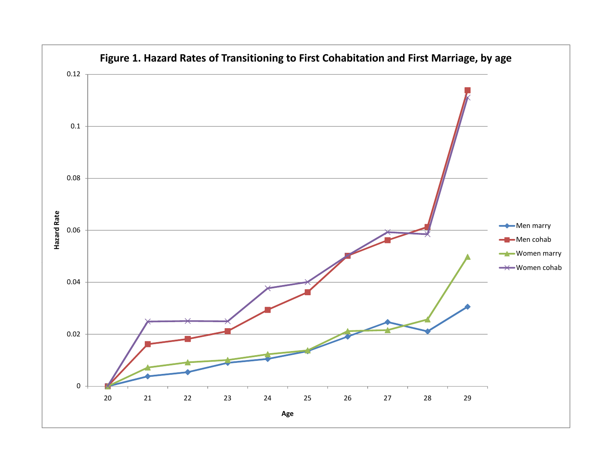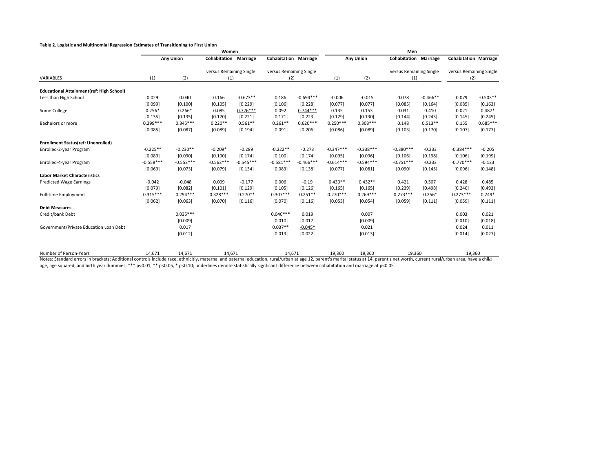#### **Table 2. Logistic and Multinomial Regression Estimates of Transitioning to First Union**

|                                                 | Women       |                  |                              |             |                              |             | Men         |                  |                                |            |                                |            |  |
|-------------------------------------------------|-------------|------------------|------------------------------|-------------|------------------------------|-------------|-------------|------------------|--------------------------------|------------|--------------------------------|------------|--|
|                                                 |             | <b>Any Union</b> | <b>Cohabitation Marriage</b> |             | <b>Cohabitation Marriage</b> |             |             | <b>Any Union</b> | <b>Cohabitation Marriage</b>   |            | <b>Cohabitation Marriage</b>   |            |  |
|                                                 |             |                  | versus Remaining Single      |             | versus Remaining Single      |             |             | (2)              | versus Remaining Single<br>(1) |            | versus Remaining Single<br>(2) |            |  |
| VARIABLES                                       | (1)         | (2)              | (1)                          |             | (2)                          |             | (1)         |                  |                                |            |                                |            |  |
| <b>Educational Attainment(ref: High School)</b> |             |                  |                              |             |                              |             |             |                  |                                |            |                                |            |  |
| Less than High School                           | 0.029       | 0.040            | 0.166                        | $-0.673**$  | 0.186                        | $-0.694***$ | $-0.006$    | $-0.015$         | 0.078                          | $-0.466**$ | 0.079                          | $-0.503**$ |  |
|                                                 | [0.099]     | [0.100]          | [0.105]                      | [0.229]     | [0.106]                      | [0.228]     | [0.077]     | [0.077]          | [0.085]                        | [0.164]    | [0.085]                        | [0.163]    |  |
| Some College                                    | $0.256*$    | $0.266*$         | 0.085                        | $0.726***$  | 0.092                        | $0.744***$  | 0.135       | 0.153            | 0.031                          | 0.410      | 0.021                          | $0.487*$   |  |
|                                                 | [0.135]     | [0.135]          | [0.170]                      | [0.221]     | [0.171]                      | [0.223]     | [0.129]     | [0.130]          | [0.144]                        | [0.243]    | [0.145]                        | [0.245]    |  |
| Bachelors or more                               | $0.299***$  | $0.345***$       | $0.220**$                    | $0.561**$   | $0.261**$                    | $0.620***$  | $0.250***$  | $0.303***$       | 0.148                          | $0.513**$  | 0.155                          | $0.685***$ |  |
|                                                 | [0.085]     | [0.087]          | [0.089]                      | [0.194]     | [0.091]                      | [0.206]     | [0.086]     | [0.089]          | [0.103]                        | [0.170]    | [0.107]                        | [0.177]    |  |
| <b>Enrollment Status(ref: Unenrolled)</b>       |             |                  |                              |             |                              |             |             |                  |                                |            |                                |            |  |
| Enrolled-2-year Program                         | $-0.225**$  | $-0.230**$       | $-0.209*$                    | $-0.289$    | $-0.222**$                   | $-0.273$    | $-0.347***$ | $-0.338***$      | $-0.380***$                    | $-0.233$   | $-0.384***$                    | $-0.205$   |  |
|                                                 | [0.089]     | [0.090]          | [0.100]                      | [0.174]     | [0.100]                      | [0.174]     | [0.095]     | [0.096]          | [0.106]                        | [0.198]    | [0.106]                        | [0.199]    |  |
| Enrolled-4-year Program                         | $-0.558***$ | $-0.553***$      | $-0.563***$                  | $-0.545***$ | $-0.581***$                  | $-0.466***$ | $-0.614***$ | $-0.594***$      | $-0.751***$                    | $-0.233$   | $-0.770***$                    | $-0.133$   |  |
|                                                 | [0.069]     | [0.073]          | [0.079]                      | [0.134]     | [0.083]                      | [0.138]     | [0.077]     | [0.081]          | [0.090]                        | [0.145]    | [0.096]                        | [0.148]    |  |
| <b>Labor Market Characteristics</b>             |             |                  |                              |             |                              |             |             |                  |                                |            |                                |            |  |
| <b>Predicted Wage Earnings</b>                  | $-0.042$    | $-0.048$         | 0.009                        | $-0.177$    | 0.006                        | $-0.19$     | $0.430**$   | $0.432**$        | 0.421                          | 0.507      | 0.428                          | 0.485      |  |
|                                                 | [0.079]     | [0.082]          | [0.101]                      | [0.129]     | [0.105]                      | [0.126]     | [0.165]     | [0.165]          | [0.239]                        | [0.498]    | [0.240]                        | [0.493]    |  |
| <b>Full-time Employment</b>                     | $0.315***$  | $0.294***$       | $0.328***$                   | $0.270**$   | $0.307***$                   | $0.251**$   | $0.270***$  | $0.269***$       | $0.273***$                     | $0.256*$   | $0.273***$                     | $0.249*$   |  |
|                                                 | [0.062]     | [0.063]          | [0.070]                      | [0.116]     | [0.070]                      | [0.116]     | [0.053]     | [0.054]          | [0.059]                        | [0.111]    | [0.059]                        | [0.111]    |  |
| <b>Debt Measures</b>                            |             |                  |                              |             |                              |             |             |                  |                                |            |                                |            |  |
| Credit/bank Debt                                |             | $0.035***$       |                              |             | $0.040***$                   | 0.019       |             | 0.007            |                                |            | 0.003                          | 0.021      |  |
|                                                 |             | [0.009]          |                              |             | [0.010]                      | [0.017]     |             | [0.009]          |                                |            | [0.010]                        | [0.018]    |  |
| Government/Private Education Loan Debt          |             | 0.017            |                              |             | $0.037**$                    | $-0.045*$   |             | 0.021            |                                |            | 0.024                          | 0.011      |  |
|                                                 |             | [0.012]          |                              |             | [0.013]                      | [0.022]     |             | [0.013]          |                                |            | [0.014]                        | [0.027]    |  |
| Number of Person-Years                          | 14,671      | 14,671           |                              | 14,671      |                              | 14,671      | 19,360      | 19,360           | 19,360                         |            | 19,360                         |            |  |

Notes: Standard errors in brackets; Additional controls include race, ethnicitiy, maternal and paternal education, rural/urban at age 12, parent's marital status at 14, parent's net worth, current rural/urban area, have a age, age squared, and birth year dummies; \*\*\* p<0.01, \*\* p<0.05, \* p<0.10; underlines denote statistically signficant difference between cohabitation and marriage at p<0.05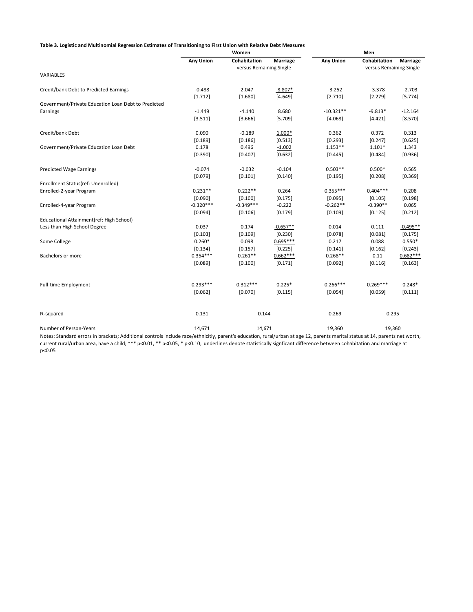Table 3. Logistic and Multinomial Regression Estimates of Transitioning to First Union with Relative Debt Measures

|                                                     |                  | Women                   | Men             |                  |                         |            |  |
|-----------------------------------------------------|------------------|-------------------------|-----------------|------------------|-------------------------|------------|--|
|                                                     | <b>Any Union</b> | Cohabitation            | <b>Marriage</b> | <b>Any Union</b> | Cohabitation            | Marriage   |  |
|                                                     |                  | versus Remaining Single |                 |                  | versus Remaining Single |            |  |
| VARIABLES                                           |                  |                         |                 |                  |                         |            |  |
| Credit/bank Debt to Predicted Earnings              | $-0.488$         | 2.047                   | $-8.807*$       | $-3.252$         | $-3.378$                | $-2.703$   |  |
|                                                     | [1.712]          | [1.680]                 | [4.649]         | [2.710]          | [2.279]                 | [5.774]    |  |
| Government/Private Education Loan Debt to Predicted |                  |                         |                 |                  |                         |            |  |
| Earnings                                            | $-1.449$         | $-4.140$                | 8.680           | $-10.321**$      | $-9.813*$               | $-12.164$  |  |
|                                                     | [3.511]          | [3.666]                 | [5.709]         | [4.068]          | [4.421]                 | [8.570]    |  |
| Credit/bank Debt                                    | 0.090            | $-0.189$                | 1.000*          | 0.362            | 0.372                   | 0.313      |  |
|                                                     | [0.189]          | [0.186]                 | [0.513]         | [0.293]          | [0.247]                 | [0.625]    |  |
| Government/Private Education Loan Debt              | 0.178            | 0.496                   | $-1.002$        | $1.153**$        | $1.101*$                | 1.343      |  |
|                                                     | [0.390]          | [0.407]                 | [0.632]         | [0.445]          | [0.484]                 | [0.936]    |  |
| <b>Predicted Wage Earnings</b>                      | $-0.074$         | $-0.032$                | $-0.104$        | $0.503**$        | $0.500*$                | 0.565      |  |
|                                                     | [0.079]          | [0.101]                 | [0.140]         | [0.195]          | [0.208]                 | [0.369]    |  |
| Enrollment Status(ref: Unenrolled)                  |                  |                         |                 |                  |                         |            |  |
| Enrolled-2-year Program                             | $0.231**$        | $0.222**$               | 0.264           | $0.355***$       | $0.404***$              | 0.208      |  |
|                                                     | [0.090]          | [0.100]                 | [0.175]         | [0.095]          | [0.105]                 | [0.198]    |  |
| Enrolled-4-year Program                             | $-0.320***$      | $-0.349***$             | $-0.222$        | $-0.262**$       | $-0.390**$              | 0.065      |  |
|                                                     | [0.094]          | [0.106]                 | [0.179]         | [0.109]          | [0.125]                 | [0.212]    |  |
| Educational Attainment(ref: High School)            |                  |                         |                 |                  |                         |            |  |
| Less than High School Degree                        | 0.037            | 0.174                   | $-0.657**$      | 0.014            | 0.111                   | $-0.495**$ |  |
|                                                     | [0.103]          | [0.109]                 | [0.230]         | [0.078]          | [0.081]                 | [0.175]    |  |
| Some College                                        | $0.260*$         | 0.098                   | $0.695***$      | 0.217            | 0.088                   | $0.550*$   |  |
|                                                     | [0.134]          | [0.157]                 | [0.225]         | [0.141]          | [0.162]                 | [0.243]    |  |
| Bachelors or more                                   | $0.354***$       | $0.261**$               | $0.662***$      | $0.268**$        | 0.11                    | $0.682***$ |  |
|                                                     | [0.089]          | [0.100]                 | [0.171]         | [0.092]          | [0.116]                 | [0.163]    |  |
| <b>Full-time Employment</b>                         | $0.293***$       | $0.312***$              | $0.225*$        | $0.266***$       | $0.269***$              | $0.248*$   |  |
|                                                     | [0.062]          | [0.070]                 | [0.115]         | [0.054]          | [0.059]                 | [0.111]    |  |
|                                                     |                  |                         |                 |                  |                         |            |  |
| R-squared                                           | 0.131            | 0.144                   |                 | 0.269            | 0.295                   |            |  |
| Number of Person-Years                              | 14,671           | 14,671                  |                 | 19,360           | 19,360                  |            |  |

Notes: Standard errors in brackets; Additional controls include race/ethnicitiy, parent's education, rural/urban at age 12, parents marital status at 14, parents net worth, current rural/urban area, have a child; \*\*\* p<0.01, \*\* p<0.05, \* p<0.10; underlines denote statistically signficant difference between cohabitation and marriage at p<0.05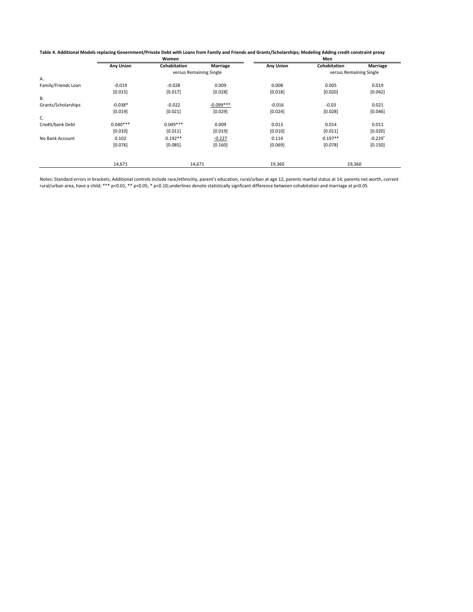| Table 4. Additional Models replacing Government/Private Debt with Loans from Family and Friends and Grants/Scholarships; Modeling Adding credit constraint proxy |  |
|------------------------------------------------------------------------------------------------------------------------------------------------------------------|--|
|------------------------------------------------------------------------------------------------------------------------------------------------------------------|--|

|                  | Women        |             | Men                               |                         |                       |  |  |  |  |
|------------------|--------------|-------------|-----------------------------------|-------------------------|-----------------------|--|--|--|--|
| <b>Any Union</b> | Cohabitation | Marriage    | <b>Any Union</b>                  | Cohabitation            | <b>Marriage</b>       |  |  |  |  |
|                  |              |             |                                   | versus Remaining Single |                       |  |  |  |  |
|                  |              |             |                                   |                         |                       |  |  |  |  |
| $-0.019$         | $-0.028$     | 0.009       | 0.008                             | 0.005                   | 0.019                 |  |  |  |  |
| [0.015]          | [0.017]      | [0.028]     | [0.018]                           | [0.020]                 | [0.042]               |  |  |  |  |
|                  |              |             |                                   |                         |                       |  |  |  |  |
| $-0.038*$        | $-0.022$     | $-0.099***$ | $-0.016$                          | $-0.03$                 | 0.021                 |  |  |  |  |
| [0.019]          | [0.021]      | [0.029]     | [0.024]                           | [0.028]                 | [0.046]               |  |  |  |  |
|                  |              |             |                                   |                         |                       |  |  |  |  |
| $0.040***$       | $0.049***$   | 0.009       | 0.013                             | 0.014                   | 0.011                 |  |  |  |  |
| [0.010]          | [0.011]      | [0.019]     | [0.010]                           | [0.011]                 | [0.020]               |  |  |  |  |
| 0.102            | $0.192**$    | $-0.227$    | 0.114                             | $0.197**$               | $-0.229$ <sup>+</sup> |  |  |  |  |
| [0.076]          | [0.085]      | [0.160]     | [0.069]                           | [0.078]                 | [0.150]               |  |  |  |  |
|                  |              |             |                                   |                         |                       |  |  |  |  |
|                  | 14,671       |             | versus Remaining Single<br>14,671 | 19,360                  | 19,360                |  |  |  |  |

Notes: Standard errors in brackets; Additional controls include race/ethnicitiy, parent's education, rural/urban at age 12, parents marital status at 14, parents net worth, current rural/urban area, have a child; \*\*\* p<0.01, \*\* p<0.05, \* p<0.10;underlines denote statistically signficant difference between cohabitation and marriage at p<0.05